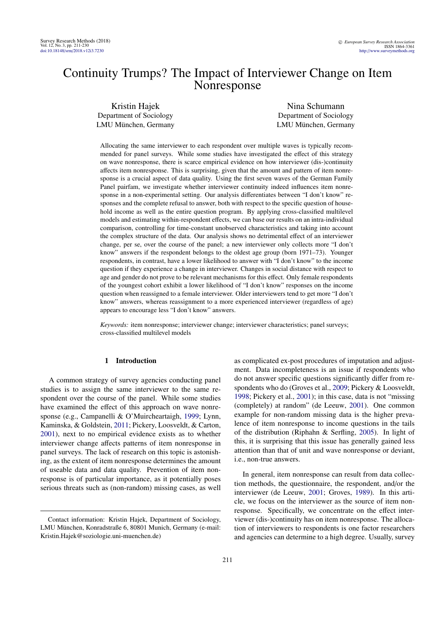# Continuity Trumps? The Impact of Interviewer Change on Item Nonresponse

Kristin Hajek Department of Sociology LMU München, Germany

Nina Schumann Department of Sociology LMU München, Germany

Allocating the same interviewer to each respondent over multiple waves is typically recommended for panel surveys. While some studies have investigated the effect of this strategy on wave nonresponse, there is scarce empirical evidence on how interviewer (dis-)continuity affects item nonresponse. This is surprising, given that the amount and pattern of item nonresponse is a crucial aspect of data quality. Using the first seven waves of the German Family Panel pairfam, we investigate whether interviewer continuity indeed influences item nonresponse in a non-experimental setting. Our analysis differentiates between "I don't know" responses and the complete refusal to answer, both with respect to the specific question of household income as well as the entire question program. By applying cross-classified multilevel models and estimating within-respondent effects, we can base our results on an intra-individual comparison, controlling for time-constant unobserved characteristics and taking into account the complex structure of the data. Our analysis shows no detrimental effect of an interviewer change, per se, over the course of the panel; a new interviewer only collects more "I don't know" answers if the respondent belongs to the oldest age group (born 1971–73). Younger respondents, in contrast, have a lower likelihood to answer with "I don't know" to the income question if they experience a change in interviewer. Changes in social distance with respect to age and gender do not prove to be relevant mechanisms for this effect. Only female respondents of the youngest cohort exhibit a lower likelihood of "I don't know" responses on the income question when reassigned to a female interviewer. Older interviewers tend to get more "I don't know" answers, whereas reassignment to a more experienced interviewer (regardless of age) appears to encourage less "I don't know" answers.

*Keywords:* item nonresponse; interviewer change; interviewer characteristics; panel surveys; cross-classified multilevel models

# 1 Introduction

A common strategy of survey agencies conducting panel studies is to assign the same interviewer to the same respondent over the course of the panel. While some studies have examined the effect of this approach on wave nonresponse (e.g., Campanelli & O'Muircheartaigh, [1999;](#page-14-0) Lynn, Kaminska, & Goldstein, [2011;](#page-14-1) Pickery, Loosveldt, & Carton, [2001\)](#page-15-0), next to no empirical evidence exists as to whether interviewer change affects patterns of item nonresponse in panel surveys. The lack of research on this topic is astonishing, as the extent of item nonresponse determines the amount of useable data and data quality. Prevention of item nonresponse is of particular importance, as it potentially poses serious threats such as (non-random) missing cases, as well

as complicated ex-post procedures of imputation and adjustment. Data incompleteness is an issue if respondents who do not answer specific questions significantly differ from respondents who do (Groves et al., [2009;](#page-14-2) Pickery & Loosveldt, [1998;](#page-14-3) Pickery et al., [2001\)](#page-15-0); in this case, data is not "missing (completely) at random" (de Leeuw, [2001\)](#page-14-4). One common example for non-random missing data is the higher prevalence of item nonresponse to income questions in the tails of the distribution (Riphahn & Serfling, [2005\)](#page-15-1). In light of this, it is surprising that this issue has generally gained less attention than that of unit and wave nonresponse or deviant, i.e., non-true answers.

In general, item nonresponse can result from data collection methods, the questionnaire, the respondent, and/or the interviewer (de Leeuw, [2001;](#page-14-4) Groves, [1989\)](#page-14-5). In this article, we focus on the interviewer as the source of item nonresponse. Specifically, we concentrate on the effect interviewer (dis-)continuity has on item nonresponse. The allocation of interviewers to respondents is one factor researchers and agencies can determine to a high degree. Usually, survey

Contact information: Kristin Hajek, Department of Sociology, LMU München, Konradstraße 6, 80801 Munich, Germany (e-mail: Kristin.Hajek@soziologie.uni-muenchen.de)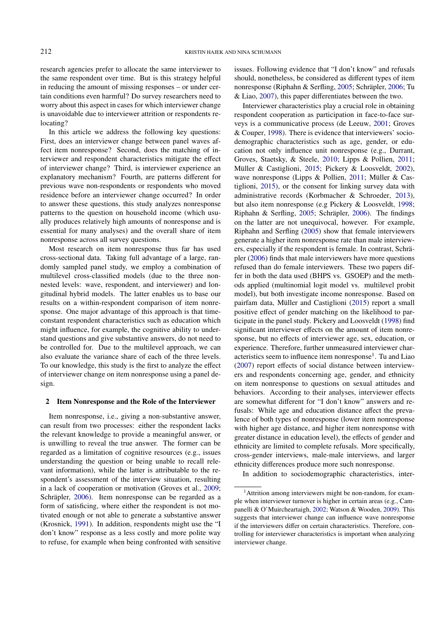research agencies prefer to allocate the same interviewer to the same respondent over time. But is this strategy helpful in reducing the amount of missing responses – or under certain conditions even harmful? Do survey researchers need to worry about this aspect in cases for which interviewer change is unavoidable due to interviewer attrition or respondents relocating?

In this article we address the following key questions: First, does an interviewer change between panel waves affect item nonresponse? Second, does the matching of interviewer and respondent characteristics mitigate the effect of interviewer change? Third, is interviewer experience an explanatory mechanism? Fourth, are patterns different for previous wave non-respondents or respondents who moved residence before an interviewer change occurred? In order to answer these questions, this study analyzes nonresponse patterns to the question on household income (which usually produces relatively high amounts of nonresponse and is essential for many analyses) and the overall share of item nonresponse across all survey questions.

Most research on item nonresponse thus far has used cross-sectional data. Taking full advantage of a large, randomly sampled panel study, we employ a combination of multilevel cross-classified models (due to the three nonnested levels: wave, respondent, and interviewer) and longitudinal hybrid models. The latter enables us to base our results on a within-respondent comparison of item nonresponse. One major advantage of this approach is that timeconstant respondent characteristics such as education which might influence, for example, the cognitive ability to understand questions and give substantive answers, do not need to be controlled for. Due to the multilevel approach, we can also evaluate the variance share of each of the three levels. To our knowledge, this study is the first to analyze the effect of interviewer change on item nonresponse using a panel design.

#### 2 Item Nonresponse and the Role of the Interviewer

Item nonresponse, i.e., giving a non-substantive answer, can result from two processes: either the respondent lacks the relevant knowledge to provide a meaningful answer, or is unwilling to reveal the true answer. The former can be regarded as a limitation of cognitive resources (e.g., issues understanding the question or being unable to recall relevant information), while the latter is attributable to the respondent's assessment of the interview situation, resulting in a lack of cooperation or motivation (Groves et al., [2009;](#page-14-2) Schräpler, [2006\)](#page-15-2). Item nonresponse can be regarded as a form of satisficing, where either the respondent is not motivated enough or not able to generate a substantive answer (Krosnick, [1991\)](#page-14-6). In addition, respondents might use the "I don't know" response as a less costly and more polite way to refuse, for example when being confronted with sensitive

issues. Following evidence that "I don't know" and refusals should, nonetheless, be considered as different types of item nonresponse (Riphahn & Serfling, [2005;](#page-15-1) Schräpler, [2006;](#page-15-2) Tu & Liao, [2007\)](#page-15-3), this paper differentiates between the two.

Interviewer characteristics play a crucial role in obtaining respondent cooperation as participation in face-to-face surveys is a communicative process (de Leeuw, [2001;](#page-14-4) Groves & Couper, [1998\)](#page-14-7). There is evidence that interviewers' sociodemographic characteristics such as age, gender, or education not only influence unit nonresponse (e.g., Durrant, Groves, Staetsky, & Steele, [2010;](#page-14-8) Lipps & Pollien, [2011;](#page-14-9) Müller & Castiglioni, [2015;](#page-14-10) Pickery & Loosveldt, [2002\)](#page-15-4), wave nonresponse (Lipps & Pollien, [2011;](#page-14-9) Müller & Castiglioni, [2015\)](#page-14-10), or the consent for linking survey data with administrative records (Korbmacher & Schroeder, [2013\)](#page-14-11), but also item nonresponse (e.g Pickery & Loosveldt, [1998;](#page-14-3) Riphahn & Serfling, [2005;](#page-15-1) Schräpler, [2006\)](#page-15-2). The findings on the latter are not unequivocal, however. For example, Riphahn and Serfling [\(2005\)](#page-15-1) show that female interviewers generate a higher item nonresponse rate than male interviewers, especially if the respondent is female. In contrast, Schräpler [\(2006\)](#page-15-2) finds that male interviewers have more questions refused than do female interviewers. These two papers differ in both the data used (BHPS vs. GSOEP) and the methods applied (multinomial logit model vs. multilevel probit model), but both investigate income nonresponse. Based on pairfam data, Müller and Castiglioni [\(2015\)](#page-14-10) report a small positive effect of gender matching on the likelihood to participate in the panel study. Pickery and Loosveldt [\(1998\)](#page-14-3) find significant interviewer effects on the amount of item nonresponse, but no effects of interviewer age, sex, education, or experience. Therefore, further unmeasured interviewer char-acteristics seem to influence item nonresponse<sup>[1](#page-1-0)</sup>. Tu and Liao [\(2007\)](#page-15-3) report effects of social distance between interviewers and respondents concerning age, gender, and ethnicity on item nonresponse to questions on sexual attitudes and behaviors. According to their analyses, interviewer effects are somewhat different for "I don't know" answers and refusals: While age and education distance affect the prevalence of both types of nonresponse (lower item nonresponse with higher age distance, and higher item nonresponse with greater distance in education level), the effects of gender and ethnicity are limited to complete refusals. More specifically, cross-gender interviews, male-male interviews, and larger ethnicity differences produce more such nonresponse.

In addition to sociodemographic characteristics, inter-

<span id="page-1-0"></span><sup>&</sup>lt;sup>1</sup>Attrition among interviewers might be non-random, for example when interviewer turnover is higher in certain areas (e.g., Campanelli & O'Muircheartaigh, [2002;](#page-14-12) Watson & Wooden, [2009\)](#page-15-5). This suggests that interviewer change can influence wave nonresponse if the interviewers differ on certain characteristics. Therefore, controlling for interviewer characteristics is important when analyzing interviewer change.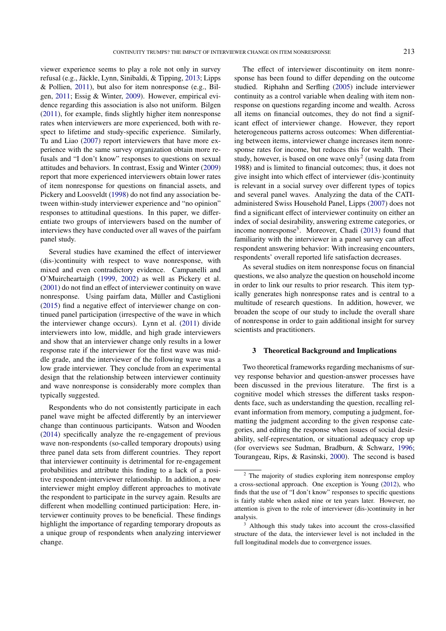viewer experience seems to play a role not only in survey refusal (e.g., Jäckle, Lynn, Sinibaldi, & Tipping, [2013;](#page-14-13) Lipps & Pollien, [2011\)](#page-14-9), but also for item nonresponse (e.g., Bilgen, [2011;](#page-14-14) Essig & Winter, [2009\)](#page-14-15). However, empirical evidence regarding this association is also not uniform. Bilgen [\(2011\)](#page-14-14), for example, finds slightly higher item nonresponse rates when interviewers are more experienced, both with respect to lifetime and study-specific experience. Similarly, Tu and Liao [\(2007\)](#page-15-3) report interviewers that have more experience with the same survey organization obtain more refusals and "I don't know" responses to questions on sexual attitudes and behaviors. In contrast, Essig and Winter [\(2009\)](#page-14-15) report that more experienced interviewers obtain lower rates of item nonresponse for questions on financial assets, and Pickery and Loosveldt [\(1998\)](#page-14-3) do not find any association between within-study interviewer experience and "no opinion" responses to attitudinal questions. In this paper, we differentiate two groups of interviewers based on the number of interviews they have conducted over all waves of the pairfam panel study.

Several studies have examined the effect of interviewer (dis-)continuity with respect to wave nonresponse, with mixed and even contradictory evidence. Campanelli and O'Muircheartaigh [\(1999,](#page-14-0) [2002\)](#page-14-12) as well as Pickery et al. [\(2001\)](#page-15-0) do not find an effect of interviewer continuity on wave nonresponse. Using pairfam data, Müller and Castiglioni [\(2015\)](#page-14-10) find a negative effect of interviewer change on continued panel participation (irrespective of the wave in which the interviewer change occurs). Lynn et al. [\(2011\)](#page-14-1) divide interviewers into low, middle, and high grade interviewers and show that an interviewer change only results in a lower response rate if the interviewer for the first wave was middle grade, and the interviewer of the following wave was a low grade interviewer. They conclude from an experimental design that the relationship between interviewer continuity and wave nonresponse is considerably more complex than typically suggested.

Respondents who do not consistently participate in each panel wave might be affected differently by an interviewer change than continuous participants. Watson and Wooden [\(2014\)](#page-15-6) specifically analyze the re-engagement of previous wave non-respondents (so-called temporary dropouts) using three panel data sets from different countries. They report that interviewer continuity is detrimental for re-engagement probabilities and attribute this finding to a lack of a positive respondent-interviewer relationship. In addition, a new interviewer might employ different approaches to motivate the respondent to participate in the survey again. Results are different when modelling continued participation: Here, interviewer continuity proves to be beneficial. These findings highlight the importance of regarding temporary dropouts as a unique group of respondents when analyzing interviewer change.

The effect of interviewer discontinuity on item nonresponse has been found to differ depending on the outcome studied. Riphahn and Serfling [\(2005\)](#page-15-1) include interviewer continuity as a control variable when dealing with item nonresponse on questions regarding income and wealth. Across all items on financial outcomes, they do not find a significant effect of interviewer change. However, they report heterogeneous patterns across outcomes: When differentiating between items, interviewer change increases item nonresponse rates for income, but reduces this for wealth. Their study, however, is based on one wave only<sup>[2](#page-2-0)</sup> (using data from 1988) and is limited to financial outcomes; thus, it does not give insight into which effect of interviewer (dis-)continuity is relevant in a social survey over different types of topics and several panel waves. Analyzing the data of the CATIadministered Swiss Household Panel, Lipps [\(2007\)](#page-14-16) does not find a significant effect of interviewer continuity on either an index of social desirability, answering extreme categories, or income nonresponse[3](#page-2-1) . Moreover, Chadi [\(2013\)](#page-14-17) found that familiarity with the interviewer in a panel survey can affect respondent answering behavior: With increasing encounters, respondents' overall reported life satisfaction decreases.

As several studies on item nonresponse focus on financial questions, we also analyze the question on household income in order to link our results to prior research. This item typically generates high nonresponse rates and is central to a multitude of research questions. In addition, however, we broaden the scope of our study to include the overall share of nonresponse in order to gain additional insight for survey scientists and practitioners.

### 3 Theoretical Background and Implications

Two theoretical frameworks regarding mechanisms of survey response behavior and question-answer processes have been discussed in the previous literature. The first is a cognitive model which stresses the different tasks respondents face, such as understanding the question, recalling relevant information from memory, computing a judgment, formatting the judgment according to the given response categories, and editing the response when issues of social desirability, self-representation, or situational adequacy crop up (for overviews see Sudman, Bradburn, & Schwarz, [1996;](#page-15-7) Tourangeau, Rips, & Rasinski, [2000\)](#page-15-8). The second is based

<span id="page-2-0"></span><sup>&</sup>lt;sup>2</sup> The majority of studies exploring item nonresponse employ a cross-sectional approach. One exception is Young [\(2012\)](#page-15-9), who finds that the use of "I don't know" responses to specific questions is fairly stable when asked nine or ten years later. However, no attention is given to the role of interviewer (dis-)continuity in her analysis.

<span id="page-2-1"></span><sup>&</sup>lt;sup>3</sup> Although this study takes into account the cross-classified structure of the data, the interviewer level is not included in the full longitudinal models due to convergence issues.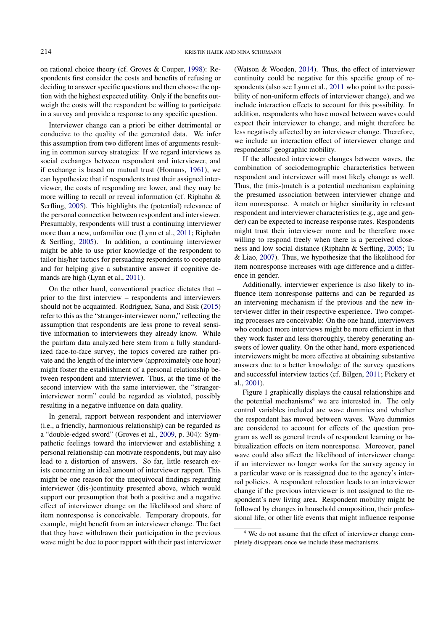on rational choice theory (cf. Groves & Couper, [1998\)](#page-14-7): Respondents first consider the costs and benefits of refusing or deciding to answer specific questions and then choose the option with the highest expected utility. Only if the benefits outweigh the costs will the respondent be willing to participate in a survey and provide a response to any specific question.

Interviewer change can a priori be either detrimental or conducive to the quality of the generated data. We infer this assumption from two different lines of arguments resulting in common survey strategies: If we regard interviews as social exchanges between respondent and interviewer, and if exchange is based on mutual trust (Homans, [1961\)](#page-14-18), we can hypothesize that if respondents trust their assigned interviewer, the costs of responding are lower, and they may be more willing to recall or reveal information (cf. Riphahn & Serfling, [2005\)](#page-15-1). This highlights the (potential) relevance of the personal connection between respondent and interviewer. Presumably, respondents will trust a continuing interviewer more than a new, unfamiliar one (Lynn et al., [2011;](#page-14-1) Riphahn & Serfling, [2005\)](#page-15-1). In addition, a continuing interviewer might be able to use prior knowledge of the respondent to tailor his/her tactics for persuading respondents to cooperate and for helping give a substantive answer if cognitive demands are high (Lynn et al., [2011\)](#page-14-1).

On the other hand, conventional practice dictates that – prior to the first interview – respondents and interviewers should not be acquainted. Rodriguez, Sana, and Sisk [\(2015\)](#page-15-10) refer to this as the "stranger-interviewer norm," reflecting the assumption that respondents are less prone to reveal sensitive information to interviewers they already know. While the pairfam data analyzed here stem from a fully standardized face-to-face survey, the topics covered are rather private and the length of the interview (approximately one hour) might foster the establishment of a personal relationship between respondent and interviewer. Thus, at the time of the second interview with the same interviewer, the "strangerinterviewer norm" could be regarded as violated, possibly resulting in a negative influence on data quality.

In general, rapport between respondent and interviewer (i.e., a friendly, harmonious relationship) can be regarded as a "double-edged sword" (Groves et al., [2009,](#page-14-2) p. 304): Sympathetic feelings toward the interviewer and establishing a personal relationship can motivate respondents, but may also lead to a distortion of answers. So far, little research exists concerning an ideal amount of interviewer rapport. This might be one reason for the unequivocal findings regarding interviewer (dis-)continuity presented above, which would support our presumption that both a positive and a negative effect of interviewer change on the likelihood and share of item nonresponse is conceivable. Temporary dropouts, for example, might benefit from an interviewer change. The fact that they have withdrawn their participation in the previous wave might be due to poor rapport with their past interviewer

(Watson & Wooden, [2014\)](#page-15-6). Thus, the effect of interviewer continuity could be negative for this specific group of respondents (also see Lynn et al., [2011](#page-14-1) who point to the possibility of non-uniform effects of interviewer change), and we include interaction effects to account for this possibility. In addition, respondents who have moved between waves could expect their interviewer to change, and might therefore be less negatively affected by an interviewer change. Therefore, we include an interaction effect of interviewer change and respondents' geographic mobility.

If the allocated interviewer changes between waves, the combination of sociodemographic characteristics between respondent and interviewer will most likely change as well. Thus, the (mis-)match is a potential mechanism explaining the presumed association between interviewer change and item nonresponse. A match or higher similarity in relevant respondent and interviewer characteristics (e.g., age and gender) can be expected to increase response rates. Respondents might trust their interviewer more and be therefore more willing to respond freely when there is a perceived closeness and low social distance (Riphahn & Serfling, [2005;](#page-15-1) Tu & Liao, [2007\)](#page-15-3). Thus, we hypothesize that the likelihood for item nonresponse increases with age difference and a difference in gender.

Additionally, interviewer experience is also likely to influence item nonresponse patterns and can be regarded as an intervening mechanism if the previous and the new interviewer differ in their respective experience. Two competing processes are conceivable: On the one hand, interviewers who conduct more interviews might be more efficient in that they work faster and less thoroughly, thereby generating answers of lower quality. On the other hand, more experienced interviewers might be more effective at obtaining substantive answers due to a better knowledge of the survey questions and successful interview tactics (cf. Bilgen, [2011;](#page-14-14) Pickery et al., [2001\)](#page-15-0).

Figure 1 graphically displays the causal relationships and the potential mechanisms<sup>[4](#page-3-0)</sup> we are interested in. The only control variables included are wave dummies and whether the respondent has moved between waves. Wave dummies are considered to account for effects of the question program as well as general trends of respondent learning or habitualization effects on item nonresponse. Moreover, panel wave could also affect the likelihood of interviewer change if an interviewer no longer works for the survey agency in a particular wave or is reassigned due to the agency's internal policies. A respondent relocation leads to an interviewer change if the previous interviewer is not assigned to the respondent's new living area. Respondent mobility might be followed by changes in household composition, their professional life, or other life events that might influence response

<span id="page-3-0"></span><sup>4</sup> We do not assume that the effect of interviewer change completely disappears once we include these mechanisms.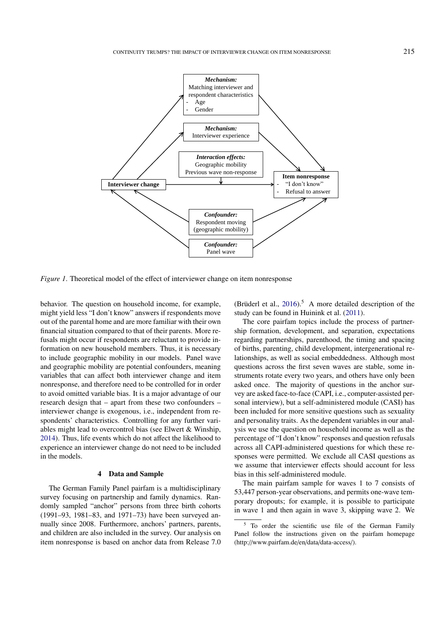

*Figure 1*. Theoretical model of the effect of interviewer change on item nonresponse

behavior. The question on household income, for example, might yield less "I don't know" answers if respondents move out of the parental home and are more familiar with their own financial situation compared to that of their parents. More refusals might occur if respondents are reluctant to provide information on new household members. Thus, it is necessary to include geographic mobility in our models. Panel wave and geographic mobility are potential confounders, meaning variables that can affect both interviewer change and item nonresponse, and therefore need to be controlled for in order to avoid omitted variable bias. It is a major advantage of our research design that – apart from these two confounders – interviewer change is exogenous, i.e., independent from respondents' characteristics. Controlling for any further variables might lead to overcontrol bias (see Elwert & Winship, [2014\)](#page-14-19). Thus, life events which do not affect the likelihood to experience an interviewer change do not need to be included in the models.

#### 4 Data and Sample

The German Family Panel pairfam is a multidisciplinary survey focusing on partnership and family dynamics. Randomly sampled "anchor" persons from three birth cohorts (1991–93, 1981–83, and 1971–73) have been surveyed annually since 2008. Furthermore, anchors' partners, parents, and children are also included in the survey. Our analysis on item nonresponse is based on anchor data from Release 7.0 (Brüderl et al.,  $2016$ ).<sup>[5](#page-4-0)</sup> A more detailed description of the study can be found in Huinink et al. [\(2011\)](#page-14-21).

The core pairfam topics include the process of partnership formation, development, and separation, expectations regarding partnerships, parenthood, the timing and spacing of births, parenting, child development, intergenerational relationships, as well as social embeddedness. Although most questions across the first seven waves are stable, some instruments rotate every two years, and others have only been asked once. The majority of questions in the anchor survey are asked face-to-face (CAPI, i.e., computer-assisted personal interview), but a self-administered module (CASI) has been included for more sensitive questions such as sexuality and personality traits. As the dependent variables in our analysis we use the question on household income as well as the percentage of "I don't know" responses and question refusals across all CAPI-administered questions for which these responses were permitted. We exclude all CASI questions as we assume that interviewer effects should account for less bias in this self-administered module.

The main pairfam sample for waves 1 to 7 consists of 53,447 person-year observations, and permits one-wave temporary dropouts; for example, it is possible to participate in wave 1 and then again in wave 3, skipping wave 2. We

<span id="page-4-0"></span><sup>5</sup> To order the scientific use file of the German Family Panel follow the instructions given on the pairfam homepage (http://www.pairfam.de/en/data/data-access/).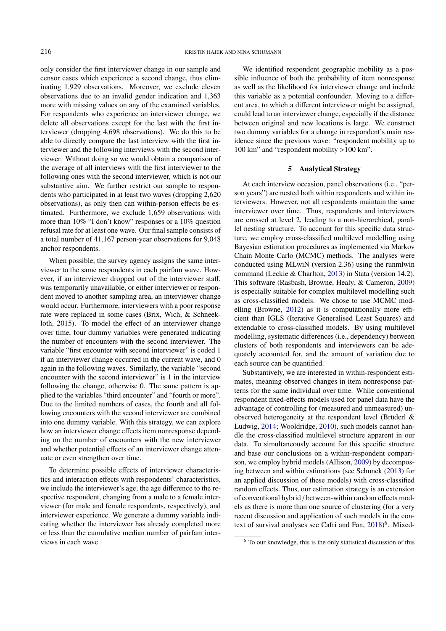only consider the first interviewer change in our sample and censor cases which experience a second change, thus eliminating 1,929 observations. Moreover, we exclude eleven observations due to an invalid gender indication and 1,363 more with missing values on any of the examined variables. For respondents who experience an interviewer change, we delete all observations except for the last with the first interviewer (dropping 4,698 observations). We do this to be able to directly compare the last interview with the first interviewer and the following interviews with the second interviewer. Without doing so we would obtain a comparison of the average of all interviews with the first interviewer to the following ones with the second interviewer, which is not our substantive aim. We further restrict our sample to respondents who participated in at least two waves (dropping 2,620 observations), as only then can within-person effects be estimated. Furthermore, we exclude 1,659 observations with more than 10% "I don't know" responses or a 10% question refusal rate for at least one wave. Our final sample consists of a total number of 41,167 person-year observations for 9,048 anchor respondents.

When possible, the survey agency assigns the same interviewer to the same respondents in each pairfam wave. However, if an interviewer dropped out of the interviewer staff, was temporarily unavailable, or either interviewer or respondent moved to another sampling area, an interviewer change would occur. Furthermore, interviewers with a poor response rate were replaced in some cases (Brix, Wich, & Schneekloth, 2015). To model the effect of an interviewer change over time, four dummy variables were generated indicating the number of encounters with the second interviewer. The variable "first encounter with second interviewer" is coded 1 if an interviewer change occurred in the current wave, and 0 again in the following waves. Similarly, the variable "second encounter with the second interviewer" is 1 in the interview following the change, otherwise 0. The same pattern is applied to the variables "third encounter" and "fourth or more". Due to the limited numbers of cases, the fourth and all following encounters with the second interviewer are combined into one dummy variable. With this strategy, we can explore how an interviewer change effects item nonresponse depending on the number of encounters with the new interviewer and whether potential effects of an interviewer change attenuate or even strengthen over time.

To determine possible effects of interviewer characteristics and interaction effects with respondents' characteristics, we include the interviewer's age, the age difference to the respective respondent, changing from a male to a female interviewer (for male and female respondents, respectively), and interviewer experience. We generate a dummy variable indicating whether the interviewer has already completed more or less than the cumulative median number of pairfam interviews in each wave.

We identified respondent geographic mobility as a possible influence of both the probability of item nonresponse as well as the likelihood for interviewer change and include this variable as a potential confounder. Moving to a different area, to which a different interviewer might be assigned, could lead to an interviewer change, especially if the distance between original and new locations is large. We construct two dummy variables for a change in respondent's main residence since the previous wave: "respondent mobility up to 100 km" and "respondent mobility >100 km".

#### 5 Analytical Strategy

At each interview occasion, panel observations (i.e., "person years") are nested both within respondents and within interviewers. However, not all respondents maintain the same interviewer over time. Thus, respondents and interviewers are crossed at level 2, leading to a non-hierarchical, parallel nesting structure. To account for this specific data structure, we employ cross-classified multilevel modelling using Bayesian estimation procedures as implemented via Markov Chain Monte Carlo (MCMC) methods. The analyses were conducted using MLwiN (version 2.36) using the runmlwin command (Leckie & Charlton, [2013\)](#page-14-22) in Stata (version 14.2). This software (Rasbash, Browne, Healy, & Cameron, [2009\)](#page-15-11) is especially suitable for complex multilevel modelling such as cross-classified models. We chose to use MCMC modelling (Browne, [2012\)](#page-14-23) as it is computationally more efficient than IGLS (Iterative Generalised Least Squares) and extendable to cross-classified models. By using multilevel modelling, systematic differences (i.e., dependency) between clusters of both respondents and interviewers can be adequately accounted for, and the amount of variation due to each source can be quantified.

Substantively, we are interested in within-respondent estimates, meaning observed changes in item nonresponse patterns for the same individual over time. While conventional respondent fixed-effects models used for panel data have the advantage of controlling for (measured and unmeasured) unobserved heterogeneity at the respondent level (Brüderl & Ludwig, [2014;](#page-14-24) Wooldridge, [2010\)](#page-15-12), such models cannot handle the cross-classified multilevel structure apparent in our data. To simultaneously account for this specific structure and base our conclusions on a within-respondent comparison, we employ hybrid models (Allison, [2009\)](#page-14-25) by decomposing between and within estimations (see Schunck [\(2013\)](#page-15-13) for an applied discussion of these models) with cross-classified random effects. Thus, our estimation strategy is an extension of conventional hybrid / between-within random effects models as there is more than one source of clustering (for a very recent discussion and application of such models in the con-text of survival analyses see Cafri and Fan, [2018\)](#page-14-26)<sup>[6](#page-5-0)</sup>. Mixed-

<span id="page-5-0"></span><sup>6</sup> To our knowledge, this is the only statistical discussion of this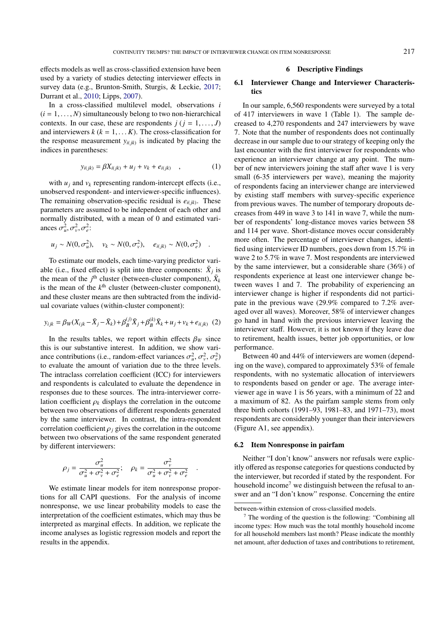effects models as well as cross-classified extension have been used by a variety of studies detecting interviewer effects in survey data (e.g., Brunton-Smith, Sturgis, & Leckie, [2017;](#page-14-27) Durrant et al., [2010;](#page-14-8) Lipps, [2007\)](#page-14-16).

In a cross-classified multilevel model, observations *i*  $(i = 1, \ldots, N)$  simultaneously belong to two non-hierarchical contexts. In our case, these are respondents  $j$  ( $j = 1, \ldots, J$ ) and interviewers  $k$  ( $k = 1, \ldots K$ ). The cross-classification for the response measurement  $y_{i(jk)}$  is indicated by placing the indices in parentheses:

$$
y_{i(jk)} = \beta X_{i(jk)} + u_j + v_k + e_{i(jk)} \quad , \tag{1}
$$

with  $u_j$  and  $v_k$  representing random-intercept effects (i.e., unobserved respondent- and interviewer-specific influences). The remaining observation-specific residual is  $e_{i(jk)}$ . These parameters are assumed to be independent of each other and normally distributed, with a mean of 0 and estimated variances  $\sigma_u^2, \sigma_v^2, \sigma_e^2$ :

$$
u_j \sim N(0, \sigma_u^2), \quad v_k \sim N(0, \sigma_v^2), \quad e_{i(jk)} \sim N(0, \sigma_e^2) \quad .
$$

To estimate our models, each time-varying predictor variable (i.e., fixed effect) is split into three components:  $\bar{X}_j$  is the mean of the  $j^{\text{th}}$  cluster (between-cluster component),  $\bar{X}_k$ is the mean of the  $k^{\text{th}}$  cluster (between-cluster component), and these cluster means are then subtracted from the individual covariate values (within-cluster component):

$$
y_{ijk} = \beta_W(X_{ijk} - \bar{X}_j - \bar{X}_k) + \beta_B^{(j)} \bar{X}_j + \beta_B^{(k)} \bar{X}_k + u_j + v_k + e_{i(jk)} \quad (2)
$$

In the results tables, we report within effects  $\beta_W$  since this is our substantive interest. In addition, we show variance contributions (i.e., random-effect variances  $\sigma_u^2$ ,  $\sigma_v^2$ ,  $\sigma_e^2$ )<br>to evaluate the amount of variation due to the three levels to evaluate the amount of variation due to the three levels. The intraclass correlation coefficient (ICC) for interviewers and respondents is calculated to evaluate the dependence in responses due to these sources. The intra-interviewer correlation coefficient  $\rho_k$  displays the correlation in the outcome between two observations of different respondents generated by the same interviewer. In contrast, the intra-respondent correlation coefficient  $\rho_i$  gives the correlation in the outcome between two observations of the same respondent generated by different interviewers:

$$
\rho_j = \frac{\sigma_u^2}{\sigma_u^2 + \sigma_v^2 + \sigma_e^2}; \quad \rho_k = \frac{\sigma_v^2}{\sigma_u^2 + \sigma_v^2 + \sigma_e^2}
$$

We estimate linear models for item nonresponse proportions for all CAPI questions. For the analysis of income nonresponse, we use linear probability models to ease the interpretation of the coefficient estimates, which may thus be interpreted as marginal effects. In addition, we replicate the income analyses as logistic regression models and report the results in the appendix.

### 6 Descriptive Findings

# 6.1 Interviewer Change and Interviewer Characteristics

In our sample, 6,560 respondents were surveyed by a total of 417 interviewers in wave 1 (Table 1). The sample decreased to 4,270 respondents and 247 interviewers by wave 7. Note that the number of respondents does not continually decrease in our sample due to our strategy of keeping only the last encounter with the first interviewer for respondents who experience an interviewer change at any point. The number of new interviewers joining the staff after wave 1 is very small (6-35 interviewers per wave), meaning the majority of respondents facing an interviewer change are interviewed by existing staff members with survey-specific experience from previous waves. The number of temporary dropouts decreases from 449 in wave 3 to 141 in wave 7, while the number of respondents' long-distance moves varies between 58 and 114 per wave. Short-distance moves occur considerably more often. The percentage of interviewer changes, identified using interviewer ID numbers, goes down from 15.7% in wave 2 to 5.7% in wave 7. Most respondents are interviewed by the same interviewer, but a considerable share (36%) of respondents experience at least one interviewer change between waves 1 and 7. The probability of experiencing an interviewer change is higher if respondents did not participate in the previous wave (29.9% compared to 7.2% averaged over all waves). Moreover, 58% of interviewer changes go hand in hand with the previous interviewer leaving the interviewer staff. However, it is not known if they leave due to retirement, health issues, better job opportunities, or low performance.

Between 40 and 44% of interviewers are women (depending on the wave), compared to approximately 53% of female respondents, with no systematic allocation of interviewers to respondents based on gender or age. The average interviewer age in wave 1 is 56 years, with a minimum of 22 and a maximum of 82. As the pairfam sample stems from only three birth cohorts (1991–93, 1981–83, and 1971–73), most respondents are considerably younger than their interviewers (Figure A1, see appendix).

#### 6.2 Item Nonresponse in pairfam

Neither "I don't know" answers nor refusals were explicitly offered as response categories for questions conducted by the interviewer, but recorded if stated by the respondent. For household income<sup>[7](#page-6-0)</sup> we distinguish between the refusal to answer and an "I don't know" response. Concerning the entire

between-within extension of cross-classified models.

<span id="page-6-0"></span> $<sup>7</sup>$  The wording of the question is the following: "Combining all</sup> income types: How much was the total monthly household income for all household members last month? Please indicate the monthly net amount, after deduction of taxes and contributions to retirement,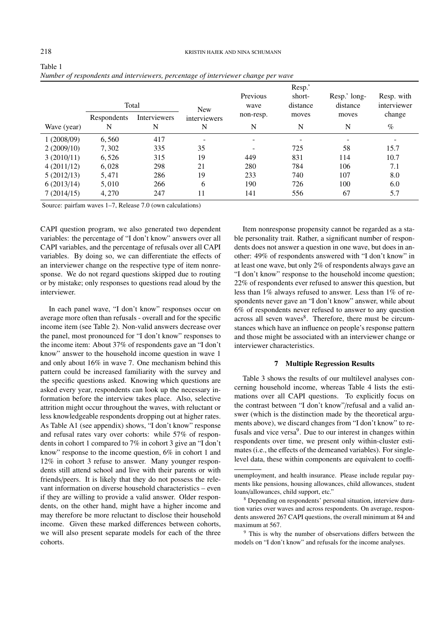|             |                  | Total             | <b>New</b>        | Previous<br>wave | Resp.'<br>short-<br>distance | Resp.' long-<br>distance | Resp. with<br>interviewer |
|-------------|------------------|-------------------|-------------------|------------------|------------------------------|--------------------------|---------------------------|
| Wave (year) | Respondents<br>N | Interviewers<br>N | interviewers<br>N | non-resp.<br>N   | moves<br>N                   | moves<br>N               | change<br>$\%$            |
|             |                  |                   |                   |                  |                              |                          |                           |
| 1(2008/09)  | 6,560            | 417               | ۰                 |                  |                              |                          |                           |
| 2(2009/10)  | 7,302            | 335               | 35                |                  | 725                          | 58                       | 15.7                      |
| 3(2010/11)  | 6,526            | 315               | 19                | 449              | 831                          | 114                      | 10.7                      |
| 4(2011/12)  | 6,028            | 298               | 21                | 280              | 784                          | 106                      | 7.1                       |
| 5(2012/13)  | 5.471            | 286               | 19                | 233              | 740                          | 107                      | 8.0                       |
| 6(2013/14)  | 5,010            | 266               | 6                 | 190              | 726                          | 100                      | 6.0                       |
| 7(2014/15)  | 4.270            | 247               | 11                | 141              | 556                          | 67                       | 5.7                       |

Source: pairfam waves 1–7, Release 7.0 (own calculations)

CAPI question program, we also generated two dependent variables: the percentage of "I don't know" answers over all CAPI variables, and the percentage of refusals over all CAPI variables. By doing so, we can differentiate the effects of an interviewer change on the respective type of item nonresponse. We do not regard questions skipped due to routing or by mistake; only responses to questions read aloud by the interviewer.

In each panel wave, "I don't know" responses occur on average more often than refusals - overall and for the specific income item (see Table 2). Non-valid answers decrease over the panel, most pronounced for "I don't know" responses to the income item: About 37% of respondents gave an "I don't know" answer to the household income question in wave 1 and only about 16% in wave 7. One mechanism behind this pattern could be increased familiarity with the survey and the specific questions asked. Knowing which questions are asked every year, respondents can look up the necessary information before the interview takes place. Also, selective attrition might occur throughout the waves, with reluctant or less knowledgeable respondents dropping out at higher rates. As Table A1 (see appendix) shows, "I don't know" response and refusal rates vary over cohorts: while 57% of respondents in cohort 1 compared to 7% in cohort 3 give an "I don't know" response to the income question, 6% in cohort 1 and 12% in cohort 3 refuse to answer. Many younger respondents still attend school and live with their parents or with friends/peers. It is likely that they do not possess the relevant information on diverse household characteristics – even if they are willing to provide a valid answer. Older respondents, on the other hand, might have a higher income and may therefore be more reluctant to disclose their household income. Given these marked differences between cohorts, we will also present separate models for each of the three cohorts.

Item nonresponse propensity cannot be regarded as a stable personality trait. Rather, a significant number of respondents does not answer a question in one wave, but does in another: 49% of respondents answered with "I don't know" in at least one wave, but only 2% of respondents always gave an "I don't know" response to the household income question; 22% of respondents ever refused to answer this question, but less than 1% always refused to answer. Less than 1% of respondents never gave an "I don't know" answer, while about 6% of respondents never refused to answer to any question across all seven waves<sup>[8](#page-7-0)</sup>. Therefore, there must be circumstances which have an influence on people's response pattern and those might be associated with an interviewer change or interviewer characteristics.

## 7 Multiple Regression Results

Table 3 shows the results of our multilevel analyses concerning household income, whereas Table 4 lists the estimations over all CAPI questions. To explicitly focus on the contrast between "I don't know"/refusal and a valid answer (which is the distinction made by the theoretical arguments above), we discard changes from "I don't know" to re-fusals and vice versa<sup>[9](#page-7-1)</sup>. Due to our interest in changes within respondents over time, we present only within-cluster estimates (i.e., the effects of the demeaned variables). For singlelevel data, these within components are equivalent to coeffi-

Table 1

unemployment, and health insurance. Please include regular payments like pensions, housing allowances, child allowances, student loans/allowances, child support, etc."

<span id="page-7-0"></span><sup>8</sup> Depending on respondents' personal situation, interview duration varies over waves and across respondents. On average, respondents answered 267 CAPI questions, the overall minimum at 84 and maximum at 567.

<span id="page-7-1"></span><sup>&</sup>lt;sup>9</sup> This is why the number of observations differs between the models on "I don't know" and refusals for the income analyses.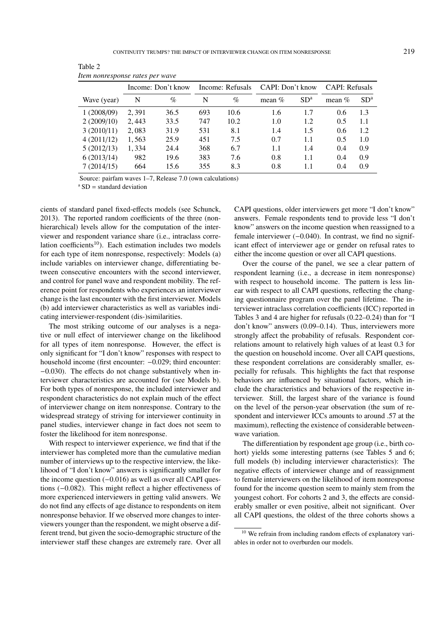|             |       | Income: Don't know | Income: Refusals |      | CAPI: Don't know |                 | <b>CAPI:</b> Refusals |                 |
|-------------|-------|--------------------|------------------|------|------------------|-----------------|-----------------------|-----------------|
| Wave (year) | N     | $\%$               | N                | $\%$ | mean $\%$        | SD <sup>a</sup> | mean $%$              | SD <sup>a</sup> |
| 1(2008/09)  | 2.391 | 36.5               | 693              | 10.6 | 1.6              | 1.7             | 0.6                   | 1.3             |
| 2(2009/10)  | 2,443 | 33.5               | 747              | 10.2 | 1.0              | 1.2             | 0.5                   | 1.1             |
| 3(2010/11)  | 2,083 | 31.9               | 531              | 8.1  | 1.4              | 1.5             | 0.6                   | 1.2             |
| 4(2011/12)  | 1,563 | 25.9               | 451              | 7.5  | 0.7              | 1.1             | 0.5                   | 1.0             |
| 5(2012/13)  | 1,334 | 24.4               | 368              | 6.7  | 1.1              | 1.4             | 0.4                   | 0.9             |
| 6(2013/14)  | 982   | 19.6               | 383              | 7.6  | 0.8              | 1.1             | 0.4                   | 0.9             |
| 7 (2014/15) | 664   | 15.6               | 355              | 8.3  | 0.8              | 1.1             | 0.4                   | 0.9             |

Table 2 *Item nonresponse rates per wave*

Source: pairfam waves 1–7, Release 7.0 (own calculations)

 $a$  SD = standard deviation

cients of standard panel fixed-effects models (see Schunck, 2013). The reported random coefficients of the three (nonhierarchical) levels allow for the computation of the interviewer and respondent variance share (i.e., intraclass corre-lation coefficients<sup>[10](#page-8-0)</sup>). Each estimation includes two models for each type of item nonresponse, respectively: Models (a) include variables on interviewer change, differentiating between consecutive encounters with the second interviewer, and control for panel wave and respondent mobility. The reference point for respondents who experiences an interviewer change is the last encounter with the first interviewer. Models (b) add interviewer characteristics as well as variables indicating interviewer-respondent (dis-)similarities.

The most striking outcome of our analyses is a negative or null effect of interviewer change on the likelihood for all types of item nonresponse. However, the effect is only significant for "I don't know" responses with respect to household income (first encounter: <sup>−</sup>0.029; third encounter: <sup>−</sup>0.030). The effects do not change substantively when interviewer characteristics are accounted for (see Models b). For both types of nonresponse, the included interviewer and respondent characteristics do not explain much of the effect of interviewer change on item nonresponse. Contrary to the widespread strategy of striving for interviewer continuity in panel studies, interviewer change in fact does not seem to foster the likelihood for item nonresponse.

With respect to interviewer experience, we find that if the interviewer has completed more than the cumulative median number of interviews up to the respective interview, the likelihood of "I don't know" answers is significantly smaller for the income question (−0.016) as well as over all CAPI questions (−0.082). This might reflect a higher effectiveness of more experienced interviewers in getting valid answers. We do not find any effects of age distance to respondents on item nonresponse behavior. If we observed more changes to interviewers younger than the respondent, we might observe a different trend, but given the socio-demographic structure of the interviewer staff these changes are extremely rare. Over all

CAPI questions, older interviewers get more "I don't know" answers. Female respondents tend to provide less "I don't know" answers on the income question when reassigned to a female interviewer (−0.040). In contrast, we find no significant effect of interviewer age or gender on refusal rates to either the income question or over all CAPI questions.

Over the course of the panel, we see a clear pattern of respondent learning (i.e., a decrease in item nonresponse) with respect to household income. The pattern is less linear with respect to all CAPI questions, reflecting the changing questionnaire program over the panel lifetime. The interviewer intraclass correlation coefficients (ICC) reported in Tables 3 and 4 are higher for refusals (0.22–0.24) than for "I don't know" answers (0.09–0.14). Thus, interviewers more strongly affect the probability of refusals. Respondent correlations amount to relatively high values of at least 0.3 for the question on household income. Over all CAPI questions, these respondent correlations are considerably smaller, especially for refusals. This highlights the fact that response behaviors are influenced by situational factors, which include the characteristics and behaviors of the respective interviewer. Still, the largest share of the variance is found on the level of the person-year observation (the sum of respondent and interviewer ICCs amounts to around .57 at the maximum), reflecting the existence of considerable betweenwave variation.

The differentiation by respondent age group (i.e., birth cohort) yields some interesting patterns (see Tables 5 and 6; full models (b) including interviewer characteristics): The negative effects of interviewer change and of reassignment to female interviewers on the likelihood of item nonresponse found for the income question seem to mainly stem from the youngest cohort. For cohorts 2 and 3, the effects are considerably smaller or even positive, albeit not significant. Over all CAPI questions, the oldest of the three cohorts shows a

<span id="page-8-0"></span><sup>&</sup>lt;sup>10</sup> We refrain from including random effects of explanatory variables in order not to overburden our models.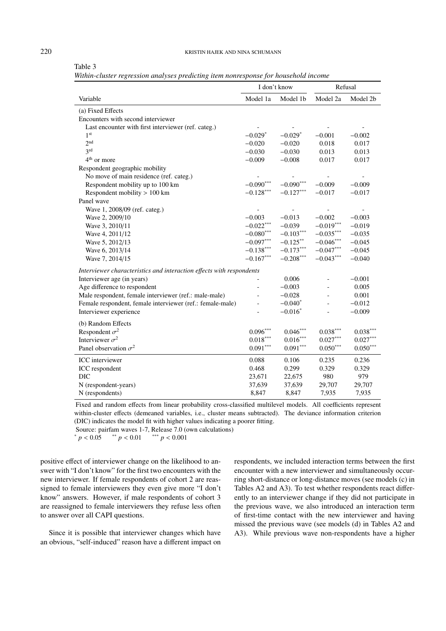#### 220 KRISTIN HAJEK AND NINA SCHUMANN

|                                                                      | I don't know                 |                          | Refusal                  |                          |
|----------------------------------------------------------------------|------------------------------|--------------------------|--------------------------|--------------------------|
| Variable                                                             | Model 1a                     | Model 1b                 | Model 2a                 | Model 2b                 |
| (a) Fixed Effects                                                    |                              |                          |                          |                          |
| Encounters with second interviewer                                   |                              |                          |                          |                          |
| Last encounter with first interviewer (ref. categ.)                  |                              |                          |                          |                          |
| 1 <sup>st</sup>                                                      | $-0.029*$                    | $-0.029*$                | $-0.001$                 | $-0.002$                 |
| 2 <sup>nd</sup>                                                      | $-0.020$                     | $-0.020$                 | 0.018                    | 0.017                    |
| 3 <sup>rd</sup>                                                      | $-0.030$                     | $-0.030$                 | 0.013                    | 0.013                    |
| $4th$ or more                                                        | $-0.009$                     | $-0.008$                 | 0.017                    | 0.017                    |
| Respondent geographic mobility                                       |                              |                          |                          |                          |
| No move of main residence (ref. categ.)                              |                              |                          |                          |                          |
| Respondent mobility up to 100 km                                     | $-0.090***$                  | $-0.090***$              | $-0.009$                 | $-0.009$                 |
| Respondent mobility > 100 km                                         | $-0.128***$                  | $-0.127***$              | $-0.017$                 | $-0.017$                 |
| Panel wave                                                           |                              |                          |                          |                          |
| Wave 1, 2008/09 (ref. categ.)                                        | $\qquad \qquad \blacksquare$ | $\overline{\phantom{a}}$ | $\overline{\phantom{a}}$ | $\overline{\phantom{a}}$ |
| Wave 2, 2009/10                                                      | $-0.003$                     | $-0.013$                 | $-0.002$                 | $-0.003$                 |
| Wave 3, 2010/11                                                      | $-0.022***$                  | $-0.039$                 | $-0.019***$              | $-0.019$                 |
| Wave 4, 2011/12                                                      | $-0.080^{\ast\ast\ast}$      | $-0.103***$              | $-0.035***$              | $-0.035$                 |
| Wave 5, 2012/13                                                      | $-0.097***$                  | $-0.125***$              | $-0.046***$              | $-0.045$                 |
| Wave 6, 2013/14                                                      | $-0.138***$                  | $-0.173***$              | $-0.047***$              | $-0.045$                 |
| Wave 7, 2014/15                                                      | $-0.167***$                  | $-0.208***$              | $-0.043***$              | $-0.040$                 |
| Interviewer characteristics and interaction effects with respondents |                              |                          |                          |                          |
| Interviewer age (in years)                                           |                              | 0.006                    |                          | $-0.001$                 |
| Age difference to respondent                                         |                              | $-0.003$                 |                          | 0.005                    |
| Male respondent, female interviewer (ref.: male-male)                |                              | $-0.028$                 |                          | 0.001                    |
| Female respondent, female interviewer (ref.: female-male)            |                              | $-0.040*$                |                          | $-0.012$                 |
| Interviewer experience                                               |                              | $-0.016*$                |                          | $-0.009$                 |
| (b) Random Effects                                                   |                              |                          |                          |                          |
| Respondent $\sigma^2$                                                | $0.096***$                   | $0.046***$               | $0.038^{***}\,$          | $0.038***$               |
| Interviewer $\sigma^2$                                               | $0.018***$                   | $0.016***$               | $0.027***$               | $0.027***$               |
| Panel observation $\sigma^2$                                         | $0.091***$                   | $0.091***$               | $0.050^{***}$            | $0.050***$               |
| ICC interviewer                                                      | 0.088                        | 0.106                    | 0.235                    | 0.236                    |
| ICC respondent                                                       | 0.468                        | 0.299                    | 0.329                    | 0.329                    |
| DIC                                                                  | 23,671                       | 22,675                   | 980                      | 979                      |
| N (respondent-years)                                                 | 37,639                       | 37,639                   | 29,707                   | 29,707                   |
| N (respondents)                                                      | 8,847                        | 8,847                    | 7,935                    | 7,935                    |

|  |  | Table 1 |  |
|--|--|---------|--|
|--|--|---------|--|

*Within-cluster regression analyses predicting item nonresponse for household income*

Fixed and random effects from linear probability cross-classified multilevel models. All coefficients represent within-cluster effects (demeaned variables, i.e., cluster means subtracted). The deviance information criterion (DIC) indicates the model fit with higher values indicating a poorer fitting.

Source: pairfam waves 1-7, Release 7.0 (own calculations)

 $p < 0.05$  \*\*  $p < 0.01$  \*\*\*  $p < 0.001$ 

positive effect of interviewer change on the likelihood to answer with "I don't know" for the first two encounters with the new interviewer. If female respondents of cohort 2 are reassigned to female interviewers they even give more "I don't know" answers. However, if male respondents of cohort 3 are reassigned to female interviewers they refuse less often to answer over all CAPI questions.

Since it is possible that interviewer changes which have an obvious, "self-induced" reason have a different impact on

respondents, we included interaction terms between the first encounter with a new interviewer and simultaneously occurring short-distance or long-distance moves (see models (c) in Tables A2 and A3). To test whether respondents react differently to an interviewer change if they did not participate in the previous wave, we also introduced an interaction term of first-time contact with the new interviewer and having missed the previous wave (see models (d) in Tables A2 and A3). While previous wave non-respondents have a higher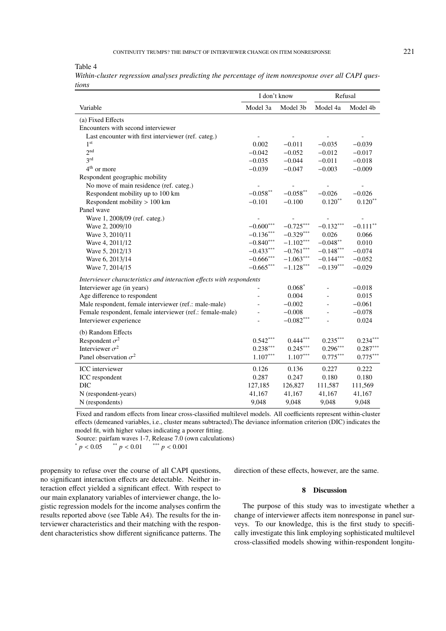# CONTINUITY TRUMPS? THE IMPACT OF INTERVIEWER CHANGE ON ITEM NONRESPONSE 221

Table 4

| Within-cluster regression analyses predicting the percentage of item nonresponse over all CAPI ques- |  |  |  |  |  |
|------------------------------------------------------------------------------------------------------|--|--|--|--|--|
| tions                                                                                                |  |  |  |  |  |

|                                                                      | I don't know   |             | Refusal     |                          |  |
|----------------------------------------------------------------------|----------------|-------------|-------------|--------------------------|--|
| Variable                                                             | Model 3a       | Model 3b    | Model 4a    | Model 4b                 |  |
| (a) Fixed Effects                                                    |                |             |             |                          |  |
| Encounters with second interviewer                                   |                |             |             |                          |  |
| Last encounter with first interviewer (ref. categ.)                  |                |             |             |                          |  |
| 1 <sup>st</sup>                                                      | 0.002          | $-0.011$    | $-0.035$    | $-0.039$                 |  |
| 2nd                                                                  | $-0.042$       | $-0.052$    | $-0.012$    | $-0.017$                 |  |
| 2rd                                                                  | $-0.035$       | $-0.044$    | $-0.011$    | $-0.018$                 |  |
| 4 <sup>th</sup> or more                                              | $-0.039$       | $-0.047$    | $-0.003$    | $-0.009$                 |  |
| Respondent geographic mobility                                       |                |             |             |                          |  |
| No move of main residence (ref. categ.)                              | $\overline{a}$ |             |             | $\overline{\phantom{a}}$ |  |
| Respondent mobility up to 100 km                                     | $-0.058**$     | $-0.058**$  | $-0.026$    | $-0.026$                 |  |
| Respondent mobility $> 100$ km                                       | $-0.101$       | $-0.100$    | $0.120**$   | $0.120**$                |  |
| Panel wave                                                           |                |             |             |                          |  |
| Wave 1, 2008/09 (ref. categ.)                                        |                |             |             |                          |  |
| Wave 2, 2009/10                                                      | $-0.600***$    | $-0.725***$ | $-0.132***$ | $-0.111$ **              |  |
| Wave 3, 2010/11                                                      | $-0.136***$    | $-0.329***$ | 0.026       | 0.066                    |  |
| Wave 4, 2011/12                                                      | $-0.840***$    | $-1.102***$ | $-0.048***$ | 0.010                    |  |
| Wave 5, 2012/13                                                      | $-0.433***$    | $-0.761***$ | $-0.148***$ | $-0.074$                 |  |
| Wave 6, 2013/14                                                      | $-0.666$ ***   | $-1.063***$ | $-0.144***$ | $-0.052$                 |  |
| Wave 7, 2014/15                                                      | $-0.665***$    | $-1.128***$ | $-0.139***$ | $-0.029$                 |  |
| Interviewer characteristics and interaction effects with respondents |                |             |             |                          |  |
| Interviewer age (in years)                                           |                | $0.068*$    |             | $-0.018$                 |  |
| Age difference to respondent                                         | $\overline{a}$ | 0.004       |             | 0.015                    |  |
| Male respondent, female interviewer (ref.: male-male)                |                | $-0.002$    |             | $-0.061$                 |  |
| Female respondent, female interviewer (ref.: female-male)            |                | $-0.008$    |             | $-0.078$                 |  |
| Interviewer experience                                               |                | $-0.082***$ |             | 0.024                    |  |
| (b) Random Effects                                                   |                |             |             |                          |  |
| Respondent $\sigma^2$                                                | $0.542***$     | $0.444***$  | $0.235***$  | $0.234***$               |  |
| Interviewer $\sigma^2$                                               | $0.238***$     | $0.245***$  | $0.296***$  | $0.287***$               |  |
| Panel observation $\sigma^2$                                         | $1.107***$     | $1.107***$  | $0.775***$  | $0.775***$               |  |
| <b>ICC</b> interviewer                                               | 0.126          | 0.136       | 0.227       | 0.222                    |  |
| ICC respondent                                                       | 0.287          | 0.247       | 0.180       | 0.180                    |  |
| DIC                                                                  | 127,185        | 126,827     | 111,587     | 111,569                  |  |
| N (respondent-years)                                                 | 41,167         | 41,167      | 41,167      | 41,167                   |  |
| N (respondents)                                                      | 9,048          | 9,048       | 9,048       | 9,048                    |  |

Fixed and random effects from linear cross-classified multilevel models. All coefficients represent within-cluster effects (demeaned variables, i.e., cluster means subtracted).The deviance information criterion (DIC) indicates the model fit, with higher values indicating a poorer fitting.

Source: pairfam waves 1-7, Release 7.0 (own calculations)  $p < 0.05$  \*\*  $p < 0.01$  \*\*\*  $p < 0.001$ 

propensity to refuse over the course of all CAPI questions, no significant interaction effects are detectable. Neither interaction effect yielded a significant effect. With respect to our main explanatory variables of interviewer change, the logistic regression models for the income analyses confirm the results reported above (see Table A4). The results for the interviewer characteristics and their matching with the respondent characteristics show different significance patterns. The direction of these effects, however, are the same.

# 8 Discussion

The purpose of this study was to investigate whether a change of interviewer affects item nonresponse in panel surveys. To our knowledge, this is the first study to specifically investigate this link employing sophisticated multilevel cross-classified models showing within-respondent longitu-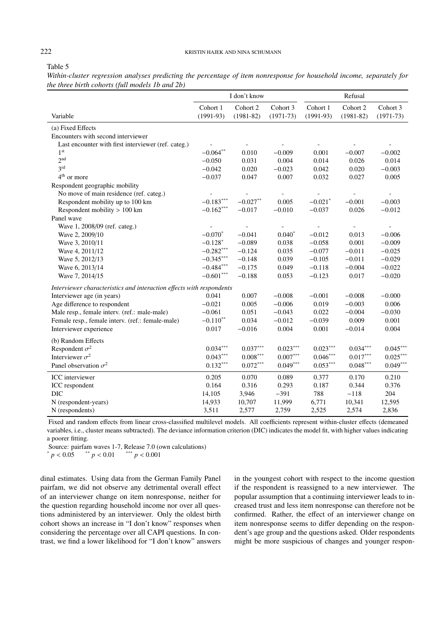## 222 KRISTIN HAJEK AND NINA SCHUMANN

| abie |  |
|------|--|
|------|--|

*Within-cluster regression analyses predicting the percentage of item nonresponse for household income, separately for the three birth cohorts (full models 1b and 2b)*

|                                                                      |                         | I don't know              |                         | Refusal                 |                           |                         |  |
|----------------------------------------------------------------------|-------------------------|---------------------------|-------------------------|-------------------------|---------------------------|-------------------------|--|
| Variable                                                             | Cohort 1<br>$(1991-93)$ | Cohort 2<br>$(1981 - 82)$ | Cohort 3<br>$(1971-73)$ | Cohort 1<br>$(1991-93)$ | Cohort 2<br>$(1981 - 82)$ | Cohort 3<br>$(1971-73)$ |  |
| (a) Fixed Effects                                                    |                         |                           |                         |                         |                           |                         |  |
| Encounters with second interviewer                                   |                         |                           |                         |                         |                           |                         |  |
| Last encounter with first interviewer (ref. categ.)                  |                         |                           |                         |                         |                           |                         |  |
| 1 <sup>st</sup>                                                      | $-0.064**$              | 0.010                     | $-0.009$                | 0.001                   | $-0.007$                  | $-0.002$                |  |
| 2 <sup>nd</sup>                                                      | $-0.050$                | 0.031                     | 0.004                   | 0.014                   | 0.026                     | 0.014                   |  |
| 3 <sup>rd</sup>                                                      | $-0.042$                | 0.020                     | $-0.023$                | 0.042                   | 0.020                     | $-0.003$                |  |
| $4th$ or more                                                        | $-0.037$                | 0.047                     | 0.007                   | 0.032                   | 0.027                     | 0.005                   |  |
| Respondent geographic mobility                                       |                         |                           |                         |                         |                           |                         |  |
| No move of main residence (ref. categ.)                              |                         |                           |                         |                         |                           |                         |  |
| Respondent mobility up to 100 km                                     | $-0.183***$             | $-0.027**$                | 0.005                   | $-0.021$ <sup>*</sup>   | $-0.001$                  | $-0.003$                |  |
| Respondent mobility > 100 km                                         | $-0.162***$             | $-0.017$                  | $-0.010$                | $-0.037$                | 0.026                     | $-0.012$                |  |
| Panel wave                                                           |                         |                           |                         |                         |                           |                         |  |
| Wave 1, 2008/09 (ref. categ.)                                        |                         |                           |                         |                         |                           |                         |  |
| Wave 2, 2009/10                                                      | $-0.070*$               | $-0.041$                  | $0.040*$                | $-0.012$                | 0.013                     | $-0.006$                |  |
| Wave 3, 2010/11                                                      | $-0.128*$               | $-0.089$                  | 0.038                   | $-0.058$                | 0.001                     | $-0.009$                |  |
| Wave 4, 2011/12                                                      | $-0.282***$             | $-0.124$                  | 0.035                   | $-0.077$                | $-0.011$                  | $-0.025$                |  |
| Wave 5, 2012/13                                                      | $-0.345***$             | $-0.148$                  | 0.039                   | $-0.105$                | $-0.011$                  | $-0.029$                |  |
| Wave 6, 2013/14                                                      | $-0.484***$             | $-0.175$                  | 0.049                   | $-0.118$                | $-0.004$                  | $-0.022$                |  |
| Wave 7, 2014/15                                                      | $-0.601***$             | $-0.188$                  | 0.053                   | $-0.123$                | 0.017                     | $-0.020$                |  |
| Interviewer characteristics and interaction effects with respondents |                         |                           |                         |                         |                           |                         |  |
| Interviewer age (in years)                                           | 0.041                   | 0.007                     | $-0.008$                | $-0.001$                | $-0.008$                  | $-0.000$                |  |
| Age difference to respondent                                         | $-0.021$                | 0.005                     | $-0.006$                | 0.019                   | $-0.003$                  | 0.006                   |  |
| Male resp., female interv. (ref.: male-male)                         | $-0.061$                | 0.051                     | $-0.043$                | 0.022                   | $-0.004$                  | $-0.030$                |  |
| Female resp., female interv. (ref.: female-male)                     | $-0.110**$              | 0.034                     | $-0.012$                | $-0.039$                | 0.009                     | 0.001                   |  |
| Interviewer experience                                               | 0.017                   | $-0.016$                  | 0.004                   | 0.001                   | $-0.014$                  | 0.004                   |  |
| (b) Random Effects                                                   |                         |                           |                         |                         |                           |                         |  |
| Respondent $\sigma^2$                                                | $0.034***$              | $0.037***$                | $0.023***$              | $0.023***$              | $0.034***$                | $0.045***$              |  |
| Interviewer $\sigma^2$                                               | $0.043***$              | $0.008***$                | $0.007***$              | $0.046***$              | $0.017***$                | $0.025***$              |  |
| Panel observation $\sigma^2$                                         | $0.132***$              | $0.072***$                | $0.049***$              | $0.053***$              | $0.048***$                | $0.049***$              |  |
| ICC interviewer                                                      | 0.205                   | 0.070                     | 0.089                   | 0.377                   | 0.170                     | 0.210                   |  |
| ICC respondent                                                       | 0.164                   | 0.316                     | 0.293                   | 0.187                   | 0.344                     | 0.376                   |  |
| <b>DIC</b>                                                           | 14,105                  | 3,946                     | $-391$                  | 788                     | $-118$                    | 204                     |  |
| N (respondent-years)                                                 | 14,933                  | 10,707                    | 11,999                  | 6,771                   | 10,341                    | 12,595                  |  |
| N (respondents)                                                      | 3,511                   | 2,577                     | 2,759                   | 2,525                   | 2,574                     | 2,836                   |  |

Fixed and random effects from linear cross-classified multilevel models. All coefficients represent within-cluster effects (demeaned variables, i.e., cluster means subtracted). The deviance information criterion (DIC) indicates the model fit, with higher values indicating a poorer fitting.

Source: pairfam waves 1-7, Release 7.0 (own calculations)  $p < 0.05$  \*\*  $p < 0.01$  \*\*\*  $p < 0.001$ 

dinal estimates. Using data from the German Family Panel pairfam, we did not observe any detrimental overall effect of an interviewer change on item nonresponse, neither for the question regarding household income nor over all questions administered by an interviewer. Only the oldest birth cohort shows an increase in "I don't know" responses when considering the percentage over all CAPI questions. In contrast, we find a lower likelihood for "I don't know" answers

in the youngest cohort with respect to the income question if the respondent is reassigned to a new interviewer. The popular assumption that a continuing interviewer leads to increased trust and less item nonresponse can therefore not be confirmed. Rather, the effect of an interviewer change on item nonresponse seems to differ depending on the respondent's age group and the questions asked. Older respondents might be more suspicious of changes and younger respon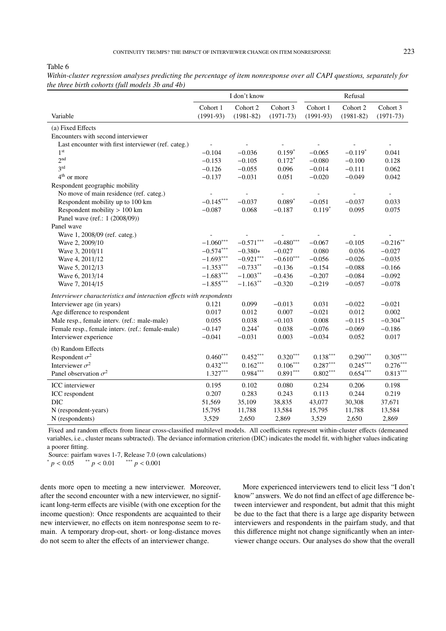Table 6

|                                                                      |                         | I don't know              |                         | Refusal                 |                           |                          |  |
|----------------------------------------------------------------------|-------------------------|---------------------------|-------------------------|-------------------------|---------------------------|--------------------------|--|
| Variable                                                             | Cohort 1<br>$(1991-93)$ | Cohort 2<br>$(1981 - 82)$ | Cohort 3<br>$(1971-73)$ | Cohort 1<br>$(1991-93)$ | Cohort 2<br>$(1981 - 82)$ | Cohort 3<br>$(1971-73)$  |  |
| (a) Fixed Effects                                                    |                         |                           |                         |                         |                           |                          |  |
| Encounters with second interviewer                                   |                         |                           |                         |                         |                           |                          |  |
| Last encounter with first interviewer (ref. categ.)                  |                         |                           |                         |                         |                           | $\overline{\phantom{a}}$ |  |
| 1 <sup>st</sup>                                                      | $-0.104$                | $-0.036$                  | $0.159*$                | $-0.065$                | $-0.119*$                 | 0.041                    |  |
| 2 <sup>nd</sup>                                                      | $-0.153$                | $-0.105$                  | $0.172*$                | $-0.080$                | $-0.100$                  | 0.128                    |  |
| 3 <sup>rd</sup>                                                      | $-0.126$                | $-0.055$                  | 0.096                   | $-0.014$                | $-0.111$                  | 0.062                    |  |
| $4th$ or more                                                        | $-0.137$                | $-0.031$                  | 0.051                   | $-0.020$                | $-0.049$                  | 0.042                    |  |
| Respondent geographic mobility                                       |                         |                           |                         |                         |                           |                          |  |
| No move of main residence (ref. categ.)                              |                         |                           |                         |                         |                           | $\overline{\phantom{a}}$ |  |
| Respondent mobility up to 100 km                                     | $-0.145***$             | $-0.037$                  | $0.089*$                | $-0.051$                | $-0.037$                  | 0.033                    |  |
| Respondent mobility $> 100$ km                                       | $-0.087$                | 0.068                     | $-0.187$                | $0.119*$                | 0.095                     | 0.075                    |  |
| Panel wave (ref.: 1 (2008/09))                                       |                         |                           |                         |                         |                           |                          |  |
| Panel wave                                                           |                         |                           |                         |                         |                           |                          |  |
| Wave 1, 2008/09 (ref. categ.)                                        |                         |                           |                         |                         |                           |                          |  |
| Wave 2, 2009/10                                                      | $-1.060***$             | $-0.571***$               | $-0.480***$             | $-0.067$                | $-0.105$                  | $-0.216$ **              |  |
| Wave 3, 2010/11                                                      | $-0.574***$             | $-0.380*$                 | $-0.027$                | 0.080                   | 0.036                     | $-0.027$                 |  |
| Wave 4, 2011/12                                                      | $-1.693***$             | $-0.921***$               | $-0.610***$             | $-0.056$                | $-0.026$                  | $-0.035$                 |  |
| Wave 5, 2012/13                                                      | $-1.353***$             | $-0.733**$                | $-0.136$                | $-0.154$                | $-0.088$                  | $-0.166$                 |  |
| Wave 6, 2013/14                                                      | $-1.683***$             | $-1.003**$                | $-0.436$                | $-0.207$                | $-0.084$                  | $-0.092$                 |  |
| Wave 7, 2014/15                                                      | $-1.855***$             | $-1.163***$               | $-0.320$                | $-0.219$                | $-0.057$                  | $-0.078$                 |  |
| Interviewer characteristics and interaction effects with respondents |                         |                           |                         |                         |                           |                          |  |
| Interviewer age (in years)                                           | 0.121                   | 0.099                     | $-0.013$                | 0.031                   | $-0.022$                  | $-0.021$                 |  |
| Age difference to respondent                                         | 0.017                   | 0.012                     | 0.007                   | $-0.021$                | 0.012                     | 0.002                    |  |
| Male resp., female interv. (ref.: male-male)                         | 0.055                   | 0.038                     | $-0.103$                | 0.008                   | $-0.115$                  | $-0.304**$               |  |
| Female resp., female interv. (ref.: female-male)                     | $-0.147$                | $0.244*$                  | 0.038                   | $-0.076$                | $-0.069$                  | $-0.186$                 |  |
| Interviewer experience                                               | $-0.041$                | $-0.031$                  | 0.003                   | $-0.034$                | 0.052                     | 0.017                    |  |
| (b) Random Effects                                                   |                         |                           |                         |                         |                           |                          |  |
| Respondent $\sigma^2$                                                | $0.460***$              | $0.452***$                | $0.320***$              | $0.138***$              | $0.290***$                | $0.305***$               |  |
| Interviewer $\sigma^2$                                               | $0.432***$              | $0.162***$                | $0.106***$              | $0.287***$              | $0.245***$                | $0.276***$               |  |
| Panel observation $\sigma^2$                                         | $1.327^{\ast\ast\ast}$  | $0.984***$                | $0.891^{\ast\ast\ast}$  | $0.802\sp{***}$         | $0.654^{\ast\ast\ast}$    | $0.813***$               |  |
| ICC interviewer                                                      | 0.195                   | 0.102                     | 0.080                   | 0.234                   | 0.206                     | 0.198                    |  |
| ICC respondent                                                       | 0.207                   | 0.283                     | 0.243                   | 0.113                   | 0.244                     | 0.219                    |  |
| <b>DIC</b>                                                           | 51,569                  | 35,109                    | 38,835                  | 43,077                  | 30,308                    | 37,671                   |  |
| N (respondent-years)                                                 | 15,795                  | 11,788                    | 13,584                  | 15,795                  | 11,788                    | 13,584                   |  |
| N (respondents)                                                      | 3,529                   | 2,650                     | 2,869                   | 3,529                   | 2,650                     | 2,869                    |  |

*Within-cluster regression analyses predicting the percentage of item nonresponse over all CAPI questions, separately for the three birth cohorts (full models 3b and 4b)*

Fixed and random effects from linear cross-classified multilevel models. All coefficients represent within-cluster effects (demeaned variables, i.e., cluster means subtracted). The deviance information criterion (DIC) indicates the model fit, with higher values indicating a poorer fitting.

Source: pairfam waves 1-7, Release 7.0 (own calculations)

 $p < 0.05$  \*\*  $p < 0.01$  \*\*\*  $p < 0.001$ 

dents more open to meeting a new interviewer. Moreover, after the second encounter with a new interviewer, no significant long-term effects are visible (with one exception for the income question): Once respondents are acquainted to their new interviewer, no effects on item nonresponse seem to remain. A temporary drop-out, short- or long-distance moves do not seem to alter the effects of an interviewer change.

More experienced interviewers tend to elicit less "I don't know" answers. We do not find an effect of age difference between interviewer and respondent, but admit that this might be due to the fact that there is a large age disparity between interviewers and respondents in the pairfam study, and that this difference might not change significantly when an interviewer change occurs. Our analyses do show that the overall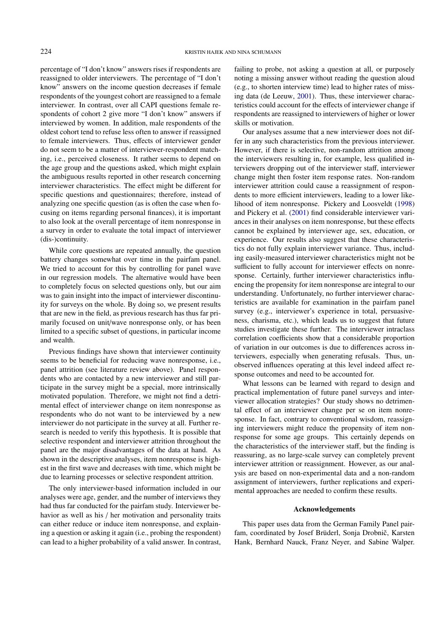percentage of "I don't know" answers rises if respondents are reassigned to older interviewers. The percentage of "I don't know" answers on the income question decreases if female respondents of the youngest cohort are reassigned to a female interviewer. In contrast, over all CAPI questions female respondents of cohort 2 give more "I don't know" answers if interviewed by women. In addition, male respondents of the oldest cohort tend to refuse less often to answer if reassigned to female interviewers. Thus, effects of interviewer gender do not seem to be a matter of interviewer-respondent matching, i.e., perceived closeness. It rather seems to depend on the age group and the questions asked, which might explain the ambiguous results reported in other research concerning interviewer characteristics. The effect might be different for specific questions and questionnaires; therefore, instead of analyzing one specific question (as is often the case when focusing on items regarding personal finances), it is important to also look at the overall percentage of item nonresponse in a survey in order to evaluate the total impact of interviewer (dis-)continuity.

While core questions are repeated annually, the question battery changes somewhat over time in the pairfam panel. We tried to account for this by controlling for panel wave in our regression models. The alternative would have been to completely focus on selected questions only, but our aim was to gain insight into the impact of interviewer discontinuity for surveys on the whole. By doing so, we present results that are new in the field, as previous research has thus far primarily focused on unit/wave nonresponse only, or has been limited to a specific subset of questions, in particular income and wealth.

Previous findings have shown that interviewer continuity seems to be beneficial for reducing wave nonresponse, i.e., panel attrition (see literature review above). Panel respondents who are contacted by a new interviewer and still participate in the survey might be a special, more intrinsically motivated population. Therefore, we might not find a detrimental effect of interviewer change on item nonresponse as respondents who do not want to be interviewed by a new interviewer do not participate in the survey at all. Further research is needed to verify this hypothesis. It is possible that selective respondent and interviewer attrition throughout the panel are the major disadvantages of the data at hand. As shown in the descriptive analyses, item nonresponse is highest in the first wave and decreases with time, which might be due to learning processes or selective respondent attrition.

The only interviewer-based information included in our analyses were age, gender, and the number of interviews they had thus far conducted for the pairfam study. Interviewer behavior as well as his / her motivation and personality traits can either reduce or induce item nonresponse, and explaining a question or asking it again (i.e., probing the respondent) can lead to a higher probability of a valid answer. In contrast,

failing to probe, not asking a question at all, or purposely noting a missing answer without reading the question aloud (e.g., to shorten interview time) lead to higher rates of missing data (de Leeuw, [2001\)](#page-14-4). Thus, these interviewer characteristics could account for the effects of interviewer change if respondents are reassigned to interviewers of higher or lower skills or motivation.

Our analyses assume that a new interviewer does not differ in any such characteristics from the previous interviewer. However, if there is selective, non-random attrition among the interviewers resulting in, for example, less qualified interviewers dropping out of the interviewer staff, interviewer change might then foster item response rates. Non-random interviewer attrition could cause a reassignment of respondents to more efficient interviewers, leading to a lower likelihood of item nonresponse. Pickery and Loosveldt [\(1998\)](#page-14-3) and Pickery et al. [\(2001\)](#page-15-0) find considerable interviewer variances in their analyses on item nonresponse, but these effects cannot be explained by interviewer age, sex, education, or experience. Our results also suggest that these characteristics do not fully explain interviewer variance. Thus, including easily-measured interviewer characteristics might not be sufficient to fully account for interviewer effects on nonresponse. Certainly, further interviewer characteristics influencing the propensity for item nonresponse are integral to our understanding. Unfortunately, no further interviewer characteristics are available for examination in the pairfam panel survey (e.g., interviewer's experience in total, persuasiveness, charisma, etc.), which leads us to suggest that future studies investigate these further. The interviewer intraclass correlation coefficients show that a considerable proportion of variation in our outcomes is due to differences across interviewers, especially when generating refusals. Thus, unobserved influences operating at this level indeed affect response outcomes and need to be accounted for.

What lessons can be learned with regard to design and practical implementation of future panel surveys and interviewer allocation strategies? Our study shows no detrimental effect of an interviewer change per se on item nonresponse. In fact, contrary to conventional wisdom, reassigning interviewers might reduce the propensity of item nonresponse for some age groups. This certainly depends on the characteristics of the interviewer staff, but the finding is reassuring, as no large-scale survey can completely prevent interviewer attrition or reassignment. However, as our analysis are based on non-experimental data and a non-random assignment of interviewers, further replications and experimental approaches are needed to confirm these results.

#### Acknowledgements

This paper uses data from the German Family Panel pairfam, coordinated by Josef Brüderl, Sonja Drobnič, Karsten Hank, Bernhard Nauck, Franz Neyer, and Sabine Walper.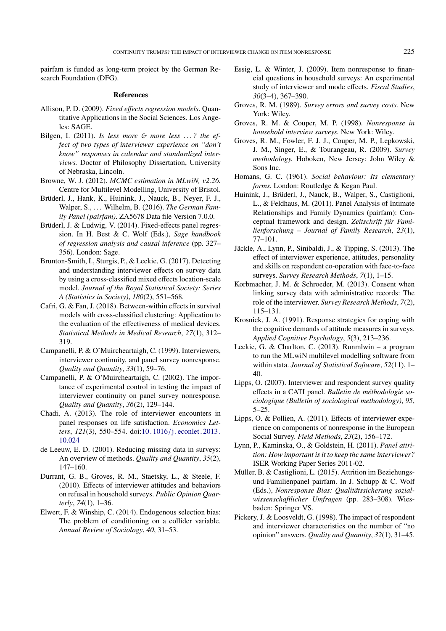pairfam is funded as long-term project by the German Research Foundation (DFG).

#### References

- <span id="page-14-25"></span>Allison, P. D. (2009). *Fixed e*ff*ects regression models*. Quantitative Applications in the Social Sciences. Los Angeles: SAGE.
- <span id="page-14-14"></span>Bilgen, I. (2011). *Is less more* & *more less* . . . *? the effect of two types of interviewer experience on "don't know" responses in calendar and standardized interviews.* Doctor of Philosophy Dissertation, University of Nebraska, Lincoln.
- <span id="page-14-23"></span>Browne, W. J. (2012). *MCMC estimation in MLwiN, v2.26.* Centre for Multilevel Modelling, University of Bristol.
- <span id="page-14-20"></span>Brüderl, J., Hank, K., Huinink, J., Nauck, B., Neyer, F. J., Walper, S., ... Wilhelm, B. (2016). *The German Family Panel (pairfam)*. ZA5678 Data file Version 7.0.0.
- <span id="page-14-24"></span>Brüderl, J. & Ludwig, V. (2014). Fixed-effects panel regression. In H. Best & C. Wolf (Eds.), *Sage handbook of regression analysis and causal inference* (pp. 327– 356). London: Sage.
- <span id="page-14-27"></span>Brunton-Smith, I., Sturgis, P., & Leckie, G. (2017). Detecting and understanding interviewer effects on survey data by using a cross-classified mixed effects location-scale model. *Journal of the Royal Statistical Society: Series A (Statistics in Society)*, *180*(2), 551–568.
- <span id="page-14-26"></span>Cafri, G. & Fan, J. (2018). Between-within effects in survival models with cross-classified clustering: Application to the evaluation of the effectiveness of medical devices. *Statistical Methods in Medical Research*, *27*(1), 312– 319.
- <span id="page-14-0"></span>Campanelli, P. & O'Muircheartaigh, C. (1999). Interviewers, interviewer continuity, and panel survey nonresponse. *Quality and Quantity*, *33*(1), 59–76.
- <span id="page-14-12"></span>Campanelli, P. & O'Muircheartaigh, C. (2002). The importance of experimental control in testing the impact of interviewer continuity on panel survey nonresponse. *Quality and Quantity*, *36*(2), 129–144.
- <span id="page-14-17"></span>Chadi, A. (2013). The role of interviewer encounters in panel responses on life satisfaction. *Economics Letters*, *121*(3), 550–554. doi:10 . 1016 /[j . econlet . 2013 .](https://dx.doi.org/10.1016/j.econlet.2013.10.024) [10.024](https://dx.doi.org/10.1016/j.econlet.2013.10.024)
- <span id="page-14-4"></span>de Leeuw, E. D. (2001). Reducing missing data in surveys: An overview of methods. *Quality and Quantity*, *35*(2), 147–160.
- <span id="page-14-8"></span>Durrant, G. B., Groves, R. M., Staetsky, L., & Steele, F. (2010). Effects of interviewer attitudes and behaviors on refusal in household surveys. *Public Opinion Quarterly*, *74*(1), 1–36.
- <span id="page-14-19"></span>Elwert, F. & Winship, C. (2014). Endogenous selection bias: The problem of conditioning on a collider variable. *Annual Review of Sociology*, *40*, 31–53.
- <span id="page-14-15"></span>Essig, L. & Winter, J. (2009). Item nonresponse to financial questions in household surveys: An experimental study of interviewer and mode effects. *Fiscal Studies*, *30*(3–4), 367–390.
- <span id="page-14-5"></span>Groves, R. M. (1989). *Survey errors and survey costs.* New York: Wiley.
- <span id="page-14-7"></span>Groves, R. M. & Couper, M. P. (1998). *Nonresponse in household interview surveys.* New York: Wiley.
- <span id="page-14-2"></span>Groves, R. M., Fowler, F. J. J., Couper, M. P., Lepkowski, J. M., Singer, E., & Tourangeau, R. (2009). *Survey methodology.* Hoboken, New Jersey: John Wiley & Sons Inc.
- <span id="page-14-18"></span>Homans, G. C. (1961). *Social behaviour: Its elementary forms.* London: Routledge & Kegan Paul.
- <span id="page-14-21"></span>Huinink, J., Brüderl, J., Nauck, B., Walper, S., Castiglioni, L., & Feldhaus, M. (2011). Panel Analysis of Intimate Relationships and Family Dynamics (pairfam): Conceptual framework and design. *Zeitschrift für Familienforschung – Journal of Family Research*, *23*(1), 77–101.
- <span id="page-14-13"></span>Jäckle, A., Lynn, P., Sinibaldi, J., & Tipping, S. (2013). The effect of interviewer experience, attitudes, personality and skills on respondent co-operation with face-to-face surveys. *Survey Research Methods*, *7*(1), 1–15.
- <span id="page-14-11"></span>Korbmacher, J. M. & Schroeder, M. (2013). Consent when linking survey data with administrative records: The role of the interviewer. *Survey Research Methods*, *7*(2), 115–131.
- <span id="page-14-6"></span>Krosnick, J. A. (1991). Response strategies for coping with the cognitive demands of attitude measures in surveys. *Applied Cognitive Psychology*, *5*(3), 213–236.
- <span id="page-14-22"></span>Leckie, G. & Charlton, C. (2013). Runmlwin – a program to run the MLwiN multilevel modelling software from within stata. *Journal of Statistical Software*, *52*(11), 1– 40.
- <span id="page-14-16"></span>Lipps, O. (2007). Interviewer and respondent survey quality effects in a CATI panel. *Bulletin de méthodologie sociologique (Bulletin of sociological methodology)*, *95*, 5–25.
- <span id="page-14-9"></span>Lipps, O. & Pollien, A. (2011). Effects of interviewer experience on components of nonresponse in the European Social Survey. *Field Methods*, *23*(2), 156–172.
- <span id="page-14-1"></span>Lynn, P., Kaminska, O., & Goldstein, H. (2011). *Panel attrition: How important is it to keep the same interviewer?* ISER Working Paper Series 2011-02.
- <span id="page-14-10"></span>Müller, B. & Castiglioni, L. (2015). Attrition im Beziehungsund Familienpanel pairfam. In J. Schupp & C. Wolf (Eds.), *Nonresponse Bias: Qualitätssicherung sozialwissenschaftlicher Umfragen* (pp. 283–308). Wiesbaden: Springer VS.
- <span id="page-14-3"></span>Pickery, J. & Loosveldt, G. (1998). The impact of respondent and interviewer characteristics on the number of "no opinion" answers. *Quality and Quantity*, *32*(1), 31–45.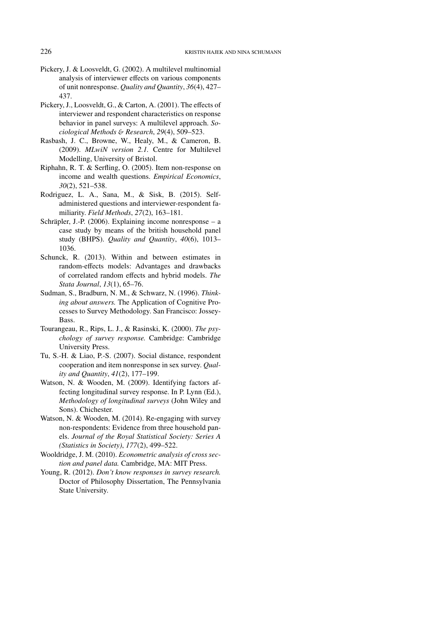- <span id="page-15-4"></span>Pickery, J. & Loosveldt, G. (2002). A multilevel multinomial analysis of interviewer effects on various components of unit nonresponse. *Quality and Quantity*, *36*(4), 427– 437.
- <span id="page-15-0"></span>Pickery, J., Loosveldt, G., & Carton, A. (2001). The effects of interviewer and respondent characteristics on response behavior in panel surveys: A multilevel approach. *Sociological Methods* & *Research*, *29*(4), 509–523.
- <span id="page-15-11"></span>Rasbash, J. C., Browne, W., Healy, M., & Cameron, B. (2009). *MLwiN version 2.1.* Centre for Multilevel Modelling, University of Bristol.
- <span id="page-15-1"></span>Riphahn, R. T. & Serfling, O. (2005). Item non-response on income and wealth questions. *Empirical Economics*, *30*(2), 521–538.
- <span id="page-15-10"></span>Rodriguez, L. A., Sana, M., & Sisk, B. (2015). Selfadministered questions and interviewer-respondent familiarity. *Field Methods*, *27*(2), 163–181.
- <span id="page-15-2"></span>Schräpler, J.-P. (2006). Explaining income nonresponse – a case study by means of the british household panel study (BHPS). *Quality and Quantity*, *40*(6), 1013– 1036.
- <span id="page-15-13"></span>Schunck, R. (2013). Within and between estimates in random-effects models: Advantages and drawbacks of correlated random effects and hybrid models. *The Stata Journal*, *13*(1), 65–76.
- <span id="page-15-7"></span>Sudman, S., Bradburn, N. M., & Schwarz, N. (1996). *Thinking about answers.* The Application of Cognitive Processes to Survey Methodology. San Francisco: Jossey-Bass.
- <span id="page-15-8"></span>Tourangeau, R., Rips, L. J., & Rasinski, K. (2000). *The psychology of survey response.* Cambridge: Cambridge University Press.
- <span id="page-15-3"></span>Tu, S.-H. & Liao, P.-S. (2007). Social distance, respondent cooperation and item nonresponse in sex survey. *Quality and Quantity*, *41*(2), 177–199.
- <span id="page-15-5"></span>Watson, N. & Wooden, M. (2009). Identifying factors affecting longitudinal survey response. In P. Lynn (Ed.), *Methodology of longitudinal surveys* (John Wiley and Sons). Chichester.
- <span id="page-15-6"></span>Watson, N. & Wooden, M. (2014). Re-engaging with survey non-respondents: Evidence from three household panels. *Journal of the Royal Statistical Society: Series A (Statistics in Society)*, *177*(2), 499–522.
- <span id="page-15-12"></span>Wooldridge, J. M. (2010). *Econometric analysis of cross section and panel data.* Cambridge, MA: MIT Press.
- <span id="page-15-9"></span>Young, R. (2012). *Don't know responses in survey research.* Doctor of Philosophy Dissertation, The Pennsylvania State University.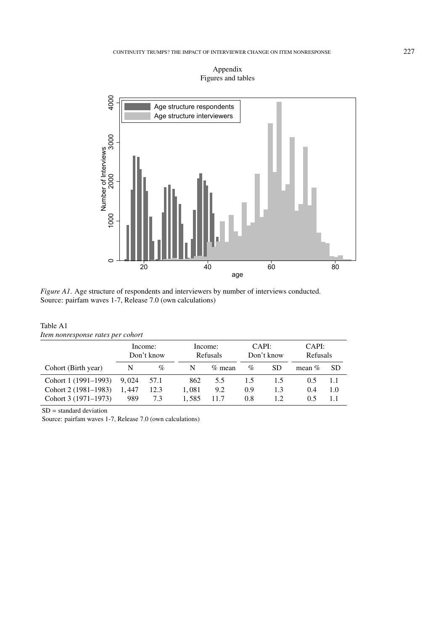

# Appendix Figures and tables

*Figure A1*. Age structure of respondents and interviewers by number of interviews conducted. Source: pairfam waves 1-7, Release 7.0 (own calculations)

| Table A1                          |  |
|-----------------------------------|--|
| Item nonresponse rates per cohort |  |

|                      | Income:<br>Don't know |      |       | Income:<br>Refusals |      | CAPI:<br>Don't know | CAPI:<br>Refusals |           |
|----------------------|-----------------------|------|-------|---------------------|------|---------------------|-------------------|-----------|
| Cohort (Birth year)  | N                     | $\%$ | N     | $\%$ mean           | $\%$ | <b>SD</b>           | mean $%$          | <b>SD</b> |
| Cohort 1 (1991–1993) | 9.024                 | 57.1 | 862   | 5.5                 | 1.5  | 1.5                 | 0.5               | 1.1       |
| Cohort 2 (1981–1983) | 1.447                 | 12.3 | 1.081 | 9.2                 | 0.9  | 1.3                 | 0.4               | 1.0       |
| Cohort 3 (1971–1973) | 989                   | 7.3  | 1.585 | 11.7                | 0.8  | 1.2                 | 0.5               | 1.1       |

SD = standard deviation

 $\ddot{\phantom{a}}$ 

Source: pairfam waves 1-7, Release 7.0 (own calculations)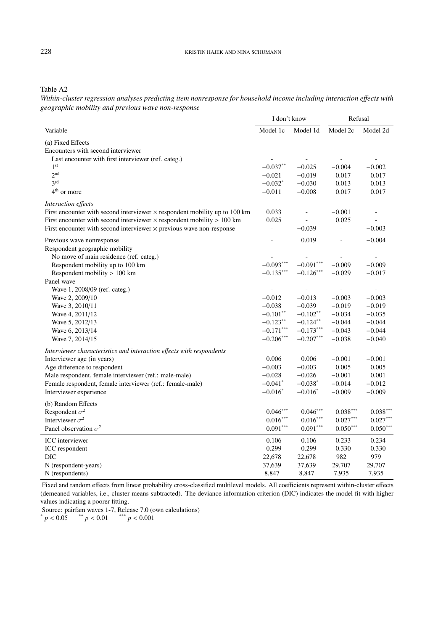Table A2

*Within-cluster regression analyses predicting item nonresponse for household income including interaction e*ff*ects with geographic mobility and previous wave non-response*

|                                                                                   | I don't know          |                          | Refusal        |                          |
|-----------------------------------------------------------------------------------|-----------------------|--------------------------|----------------|--------------------------|
| Variable                                                                          | Model 1c              | Model 1d                 | Model 2c       | Model 2d                 |
| (a) Fixed Effects                                                                 |                       |                          |                |                          |
| Encounters with second interviewer                                                |                       |                          |                |                          |
| Last encounter with first interviewer (ref. categ.)                               |                       |                          |                |                          |
| 1 <sup>st</sup>                                                                   | $-0.037**$            | $-0.025$                 | $-0.004$       | $-0.002$                 |
| 2 <sup>nd</sup>                                                                   | $-0.021$              | $-0.019$                 | 0.017          | 0.017                    |
| 3 <sup>rd</sup>                                                                   | $-0.032$ *            | $-0.030$                 | 0.013          | 0.013                    |
| $4th$ or more                                                                     | $-0.011$              | $-0.008$                 | 0.017          | 0.017                    |
| Interaction effects                                                               |                       |                          |                |                          |
| First encounter with second interviewer $\times$ respondent mobility up to 100 km | 0.033                 | $\overline{\phantom{a}}$ | $-0.001$       | $\overline{\phantom{a}}$ |
| First encounter with second interviewer $\times$ respondent mobility $> 100$ km   | 0.025                 |                          | 0.025          |                          |
| First encounter with second interviewer $\times$ previous wave non-response       | $\overline{a}$        | $-0.039$                 | $\overline{a}$ | $-0.003$                 |
| Previous wave nonresponse                                                         |                       | 0.019                    |                | $-0.004$                 |
| Respondent geographic mobility                                                    |                       |                          |                |                          |
| No move of main residence (ref. categ.)                                           |                       |                          |                |                          |
| Respondent mobility up to 100 km                                                  | $-0.093***$           | $-0.091***$              | $-0.009$       | $-0.009$                 |
| Respondent mobility > 100 km                                                      | $-0.135***$           | $-0.126***$              | $-0.029$       | $-0.017$                 |
| Panel wave                                                                        |                       |                          |                |                          |
| Wave 1, 2008/09 (ref. categ.)                                                     | $\overline{a}$        |                          | $\overline{a}$ |                          |
| Wave 2, 2009/10                                                                   | $-0.012$              | $-0.013$                 | $-0.003$       | $-0.003$                 |
| Wave 3, 2010/11                                                                   | $-0.038$              | $-0.039$                 | $-0.019$       | $-0.019$                 |
| Wave 4, 2011/12                                                                   | $-0.101$ **           | $-0.102**$               | $-0.034$       | $-0.035$                 |
| Wave 5, 2012/13                                                                   | $-0.123***$           | $-0.124***$              | $-0.044$       | $-0.044$                 |
| Wave 6, 2013/14                                                                   | $-0.171***$           | $-0.173***$              | $-0.043$       | $-0.044$                 |
| Wave 7, 2014/15                                                                   | $-0.206***$           | $-0.207***$              | $-0.038$       | $-0.040$                 |
| Interviewer characteristics and interaction effects with respondents              |                       |                          |                |                          |
| Interviewer age (in years)                                                        | 0.006                 | 0.006                    | $-0.001$       | $-0.001$                 |
| Age difference to respondent                                                      | $-0.003$              | $-0.003$                 | 0.005          | 0.005                    |
| Male respondent, female interviewer (ref.: male-male)                             | $-0.028$              | $-0.026$                 | $-0.001$       | 0.001                    |
| Female respondent, female interviewer (ref.: female-male)                         | $-0.041$ <sup>*</sup> | $-0.038*$                | $-0.014$       | $-0.012$                 |
| Interviewer experience                                                            | $-0.016^*$            | $-0.016^*$               | $-0.009$       | $-0.009$                 |
| (b) Random Effects                                                                |                       |                          |                |                          |
| Respondent $\sigma^2$                                                             | $0.046***$            | $0.046***$               | $0.038***$     | $0.038***$               |
| Interviewer $\sigma^2$                                                            | $0.016***$            | $0.016***$               | $0.027***$     | $0.027***$               |
| Panel observation $\sigma^2$                                                      | $0.091***$            | $0.091***$               | $0.050^{***}$  | $0.050***$               |
| <b>ICC</b> interviewer                                                            | 0.106                 | 0.106                    | 0.233          | 0.234                    |
| ICC respondent                                                                    | 0.299                 | 0.299                    | 0.330          | 0.330                    |
| DIC                                                                               | 22,678                | 22,678                   | 982            | 979                      |
| N (respondent-years)                                                              | 37,639                | 37,639                   | 29,707         | 29,707                   |
| N (respondents)                                                                   | 8,847                 | 8,847                    | 7,935          | 7,935                    |

Fixed and random effects from linear probability cross-classified multilevel models. All coefficients represent within-cluster effects (demeaned variables, i.e., cluster means subtracted). The deviance information criterion (DIC) indicates the model fit with higher values indicating a poorer fitting.

Source: pairfam waves 1-7, Release 7.0 (own calculations)

 $p < 0.05$  \*\*  $p < 0.01$  \*\*\*  $p < 0.001$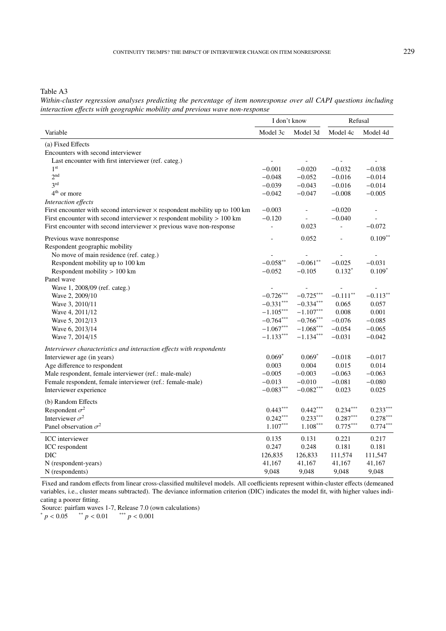Table A3

*Within-cluster regression analyses predicting the percentage of item nonresponse over all CAPI questions including interaction e*ff*ects with geographic mobility and previous wave non-response*

|                                                                                   | I don't know   |             | Refusal                |             |
|-----------------------------------------------------------------------------------|----------------|-------------|------------------------|-------------|
| Variable                                                                          | Model 3c       | Model 3d    | Model 4c               | Model 4d    |
| (a) Fixed Effects                                                                 |                |             |                        |             |
| Encounters with second interviewer                                                |                |             |                        |             |
| Last encounter with first interviewer (ref. categ.)                               |                |             |                        |             |
| 1 <sup>st</sup>                                                                   | $-0.001$       | $-0.020$    | $-0.032$               | $-0.038$    |
| 2 <sub>nd</sub>                                                                   | $-0.048$       | $-0.052$    | $-0.016$               | $-0.014$    |
| 3 <sup>rd</sup>                                                                   | $-0.039$       | $-0.043$    | $-0.016$               | $-0.014$    |
| 4 <sup>th</sup> or more                                                           | $-0.042$       | $-0.047$    | $-0.008$               | $-0.005$    |
| Interaction effects                                                               |                |             |                        |             |
| First encounter with second interviewer $\times$ respondent mobility up to 100 km | $-0.003$       |             | $-0.020$               |             |
| First encounter with second interviewer $\times$ respondent mobility $> 100$ km   | $-0.120$       |             | $-0.040$               |             |
| First encounter with second interviewer $\times$ previous wave non-response       | $\overline{a}$ | 0.023       |                        | $-0.072$    |
| Previous wave nonresponse                                                         |                | 0.052       |                        | $0.109**$   |
| Respondent geographic mobility                                                    |                |             |                        |             |
| No move of main residence (ref. categ.)                                           |                |             |                        |             |
| Respondent mobility up to 100 km                                                  | $-0.058***$    | $-0.061**$  | $-0.025$               | $-0.031$    |
| Respondent mobility $> 100$ km                                                    | $-0.052$       | $-0.105$    | $0.132*$               | $0.109*$    |
| Panel wave                                                                        |                |             |                        |             |
| Wave 1, 2008/09 (ref. categ.)                                                     |                |             |                        |             |
| Wave 2, 2009/10                                                                   | $-0.726***$    | $-0.725***$ | $-0.111$ <sup>**</sup> | $-0.113***$ |
| Wave 3, 2010/11                                                                   | $-0.331***$    | $-0.334***$ | 0.065                  | 0.057       |
| Wave 4, 2011/12                                                                   | $-1.105***$    | $-1.107***$ | 0.008                  | 0.001       |
| Wave 5, 2012/13                                                                   | $-0.764***$    | $-0.766***$ | $-0.076$               | $-0.085$    |
| Wave 6, 2013/14                                                                   | $-1.067***$    | $-1.068***$ | $-0.054$               | $-0.065$    |
| Wave 7, 2014/15                                                                   | $-1.133***$    | $-1.134***$ | $-0.031$               | $-0.042$    |
| Interviewer characteristics and interaction effects with respondents              |                |             |                        |             |
| Interviewer age (in years)                                                        | $0.069*$       | $0.069*$    | $-0.018$               | $-0.017$    |
| Age difference to respondent                                                      | 0.003          | 0.004       | 0.015                  | 0.014       |
| Male respondent, female interviewer (ref.: male-male)                             | $-0.005$       | $-0.003$    | $-0.063$               | $-0.063$    |
| Female respondent, female interviewer (ref.: female-male)                         | $-0.013$       | $-0.010$    | $-0.081$               | $-0.080$    |
| Interviewer experience                                                            | $-0.083***$    | $-0.082***$ | 0.023                  | 0.025       |
| (b) Random Effects                                                                |                |             |                        |             |
| Respondent $\sigma^2$                                                             | $0.443***$     | $0.442***$  | $0.234***$             | $0.233***$  |
| Interviewer $\sigma^2$                                                            | $0.242***$     | $0.233***$  | $0.287***$             | $0.278***$  |
| Panel observation $\sigma^2$                                                      | $1.107***$     | $1.108***$  | $0.775^{\ast\ast\ast}$ | $0.774***$  |
| <b>ICC</b> interviewer                                                            | 0.135          | 0.131       | 0.221                  | 0.217       |
| ICC respondent                                                                    | 0.247          | 0.248       | 0.181                  | 0.181       |
| <b>DIC</b>                                                                        | 126,835        | 126,833     | 111,574                | 111,547     |
| N (respondent-years)                                                              | 41,167         | 41,167      | 41,167                 | 41,167      |
| N (respondents)                                                                   | 9,048          | 9,048       | 9,048                  | 9,048       |

Fixed and random effects from linear cross-classified multilevel models. All coefficients represent within-cluster effects (demeaned variables, i.e., cluster means subtracted). The deviance information criterion (DIC) indicates the model fit, with higher values indicating a poorer fitting.

Source: pairfam waves 1-7, Release 7.0 (own calculations)

 $p < 0.05$  \*\*  $p < 0.01$  \*\*\*  $p < 0.001$